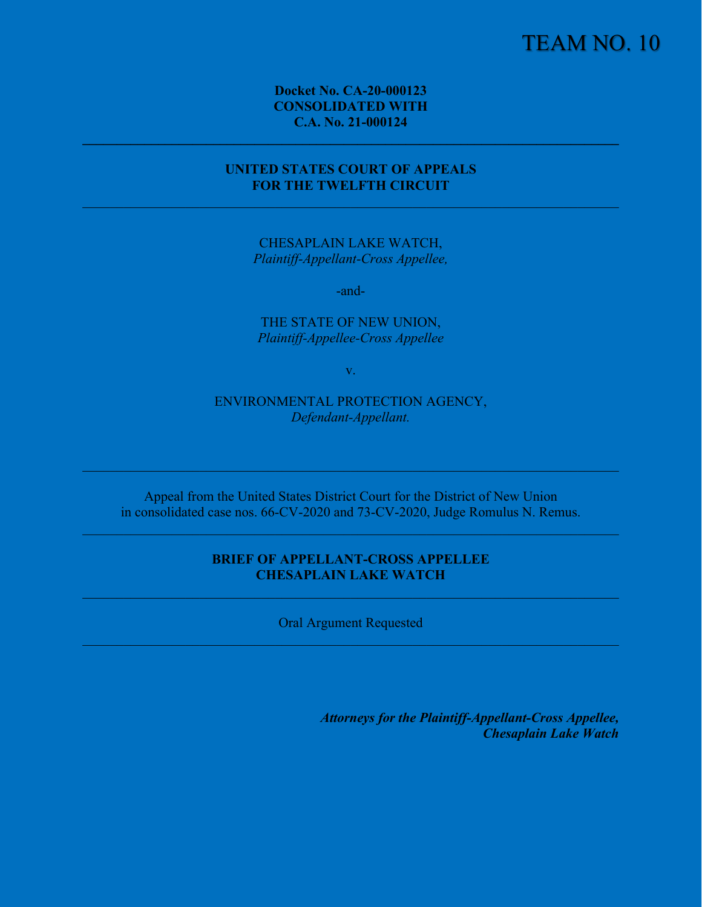# TEAM NO. 10

**Docket No. CA-20-000123 CONSOLIDATED WITH C.A. No. 21-000124** 

## **UNITED STATES COURT OF APPEALS FOR THE TWELFTH CIRCUIT**

CHESAPLAIN LAKE WATCH, *Plaintiff-Appellant-Cross Appellee,*

-and-

THE STATE OF NEW UNION, *Plaintiff-Appellee-Cross Appellee*

v.

ENVIRONMENTAL PROTECTION AGENCY, *Defendant-Appellant.*

Appeal from the United States District Court for the District of New Union in consolidated case nos. 66-CV-2020 and 73-CV-2020, Judge Romulus N. Remus.

## **BRIEF OF APPELLANT-CROSS APPELLEE CHESAPLAIN LAKE WATCH**

Oral Argument Requested

*Attorneys for the Plaintiff-Appellant-Cross Appellee, Chesaplain Lake Watch*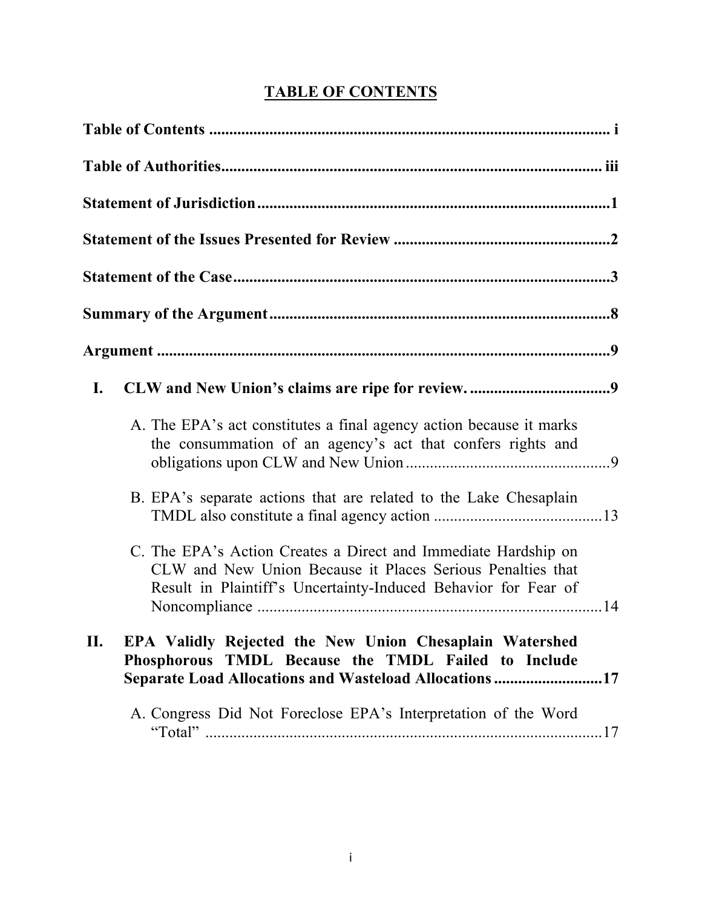# **TABLE OF CONTENTS**

| I.                                                                                                                                                                                             |
|------------------------------------------------------------------------------------------------------------------------------------------------------------------------------------------------|
| A. The EPA's act constitutes a final agency action because it marks<br>the consummation of an agency's act that confers rights and                                                             |
| B. EPA's separate actions that are related to the Lake Chesaplain                                                                                                                              |
| C. The EPA's Action Creates a Direct and Immediate Hardship on<br>CLW and New Union Because it Places Serious Penalties that<br>Result in Plaintiff's Uncertainty-Induced Behavior for Fear of |
| EPA Validly Rejected the New Union Chesaplain Watershed<br>II.<br>Phosphorous TMDL Because the TMDL Failed to Include<br>Separate Load Allocations and Wasteload Allocations17                 |
| A. Congress Did Not Foreclose EPA's Interpretation of the Word                                                                                                                                 |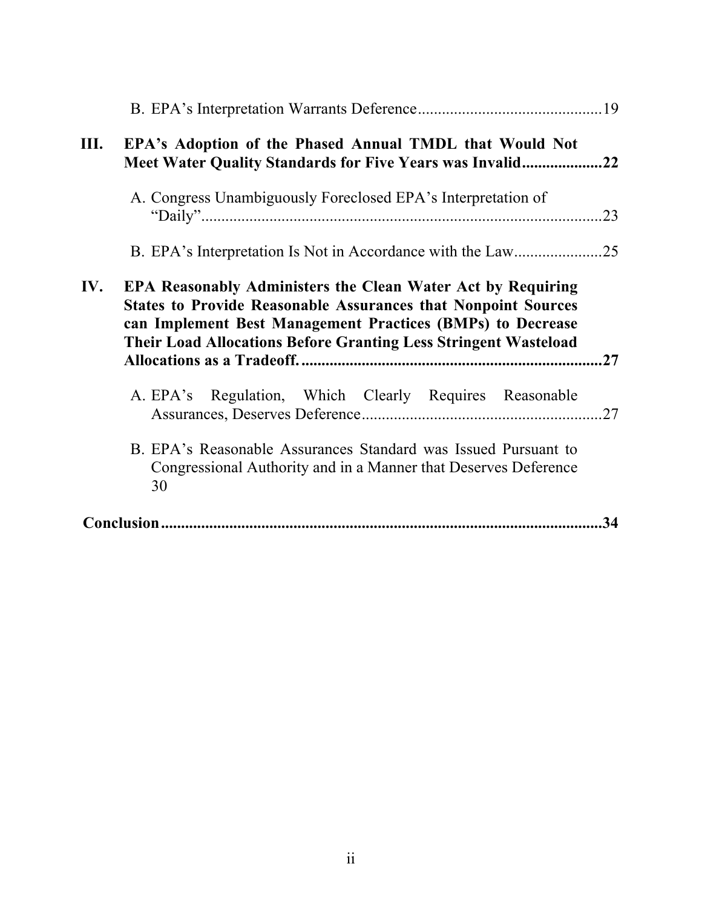| Ш.  | EPA's Adoption of the Phased Annual TMDL that Would Not<br>Meet Water Quality Standards for Five Years was Invalid22                                                                                                                                                               |     |
|-----|------------------------------------------------------------------------------------------------------------------------------------------------------------------------------------------------------------------------------------------------------------------------------------|-----|
|     | A. Congress Unambiguously Foreclosed EPA's Interpretation of                                                                                                                                                                                                                       | 23  |
|     |                                                                                                                                                                                                                                                                                    |     |
| IV. | <b>EPA Reasonably Administers the Clean Water Act by Requiring</b><br><b>States to Provide Reasonable Assurances that Nonpoint Sources</b><br>can Implement Best Management Practices (BMPs) to Decrease<br><b>Their Load Allocations Before Granting Less Stringent Wasteload</b> | .27 |
|     | A. EPA's Regulation, Which Clearly Requires Reasonable                                                                                                                                                                                                                             |     |
|     | B. EPA's Reasonable Assurances Standard was Issued Pursuant to<br>Congressional Authority and in a Manner that Deserves Deference<br>30                                                                                                                                            |     |
|     |                                                                                                                                                                                                                                                                                    | 34  |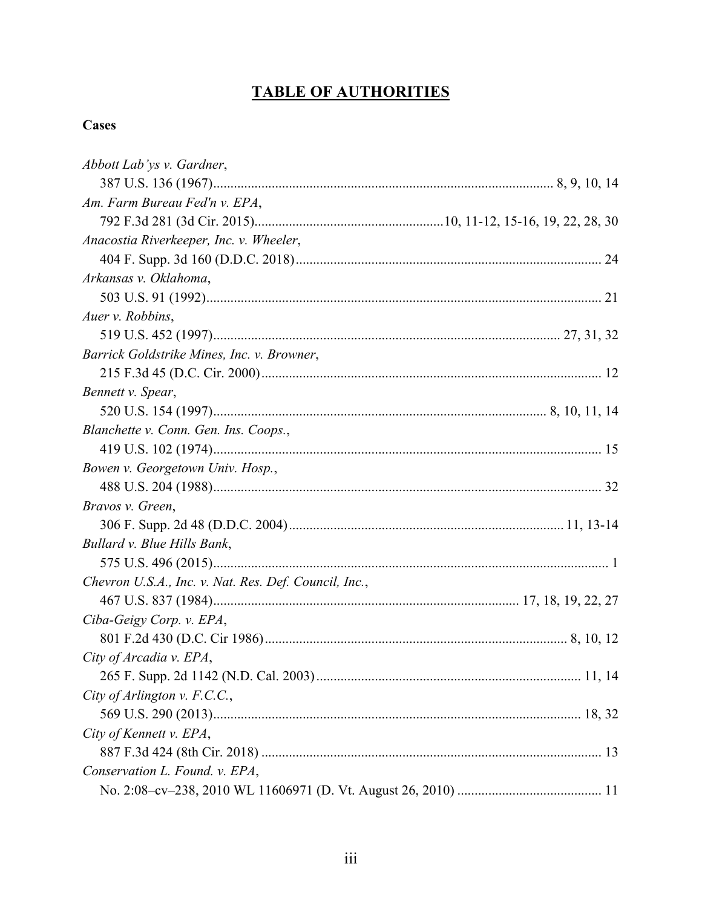# **TABLE OF AUTHORITIES**

## **Cases**

| Abbott Lab'ys v. Gardner,                             |  |
|-------------------------------------------------------|--|
|                                                       |  |
| Am. Farm Bureau Fed'n v. EPA,                         |  |
|                                                       |  |
| Anacostia Riverkeeper, Inc. v. Wheeler,               |  |
|                                                       |  |
| Arkansas v. Oklahoma,                                 |  |
|                                                       |  |
| Auer v. Robbins,                                      |  |
|                                                       |  |
| Barrick Goldstrike Mines, Inc. v. Browner,            |  |
|                                                       |  |
| Bennett v. Spear,                                     |  |
|                                                       |  |
| Blanchette v. Conn. Gen. Ins. Coops.,                 |  |
|                                                       |  |
| Bowen v. Georgetown Univ. Hosp.,                      |  |
|                                                       |  |
| Bravos v. Green,                                      |  |
|                                                       |  |
| Bullard v. Blue Hills Bank,                           |  |
|                                                       |  |
| Chevron U.S.A., Inc. v. Nat. Res. Def. Council, Inc., |  |
|                                                       |  |
| Ciba-Geigy Corp. v. EPA,                              |  |
|                                                       |  |
| City of Arcadia v. EPA,                               |  |
|                                                       |  |
| City of Arlington v. F.C.C.,                          |  |
|                                                       |  |
| City of Kennett v. EPA,                               |  |
|                                                       |  |
| Conservation L. Found. v. EPA,                        |  |
|                                                       |  |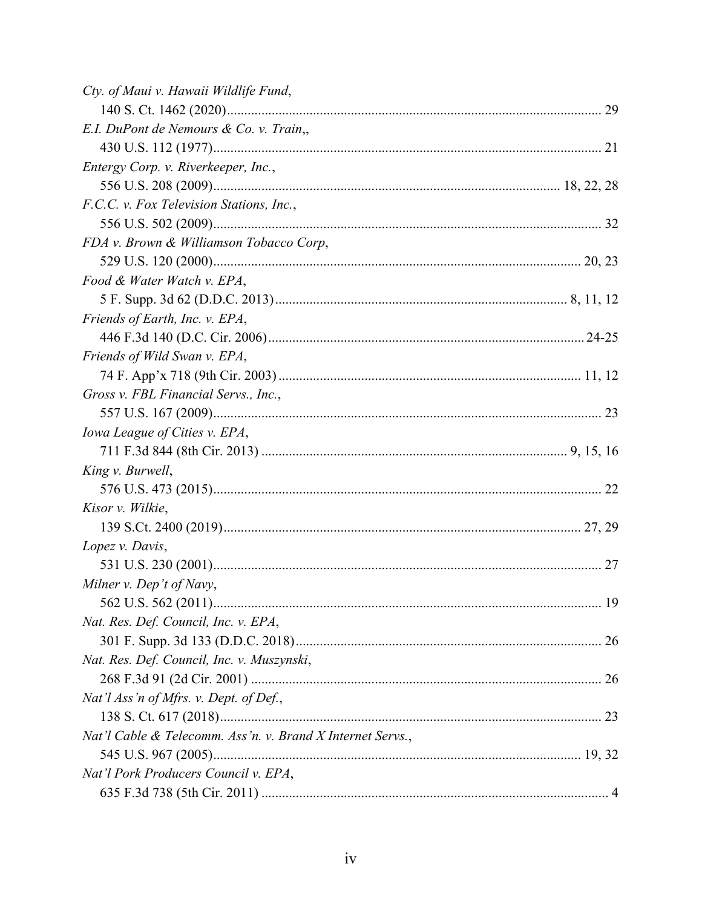| Cty. of Maui v. Hawaii Wildlife Fund,                      |  |
|------------------------------------------------------------|--|
|                                                            |  |
| E.I. DuPont de Nemours & Co. v. Train,,                    |  |
|                                                            |  |
| Entergy Corp. v. Riverkeeper, Inc.,                        |  |
|                                                            |  |
| F.C.C. v. Fox Television Stations, Inc.,                   |  |
|                                                            |  |
| FDA v. Brown & Williamson Tobacco Corp,                    |  |
|                                                            |  |
| Food & Water Watch v. EPA,                                 |  |
|                                                            |  |
| Friends of Earth, Inc. v. EPA,                             |  |
|                                                            |  |
| Friends of Wild Swan v. EPA,                               |  |
|                                                            |  |
| Gross v. FBL Financial Servs., Inc.,                       |  |
|                                                            |  |
| Iowa League of Cities v. EPA,                              |  |
|                                                            |  |
| King v. Burwell,                                           |  |
|                                                            |  |
| Kisor v. Wilkie,                                           |  |
|                                                            |  |
| Lopez v. Davis,                                            |  |
|                                                            |  |
| Milner v. Dep't of Navy,                                   |  |
|                                                            |  |
| Nat. Res. Def. Council, Inc. v. EPA,                       |  |
|                                                            |  |
| Nat. Res. Def. Council, Inc. v. Muszynski,                 |  |
|                                                            |  |
| Nat'l Ass'n of Mfrs. v. Dept. of Def.,                     |  |
|                                                            |  |
| Nat'l Cable & Telecomm. Ass'n. v. Brand X Internet Servs., |  |
|                                                            |  |
| Nat'l Pork Producers Council v. EPA,                       |  |
|                                                            |  |
|                                                            |  |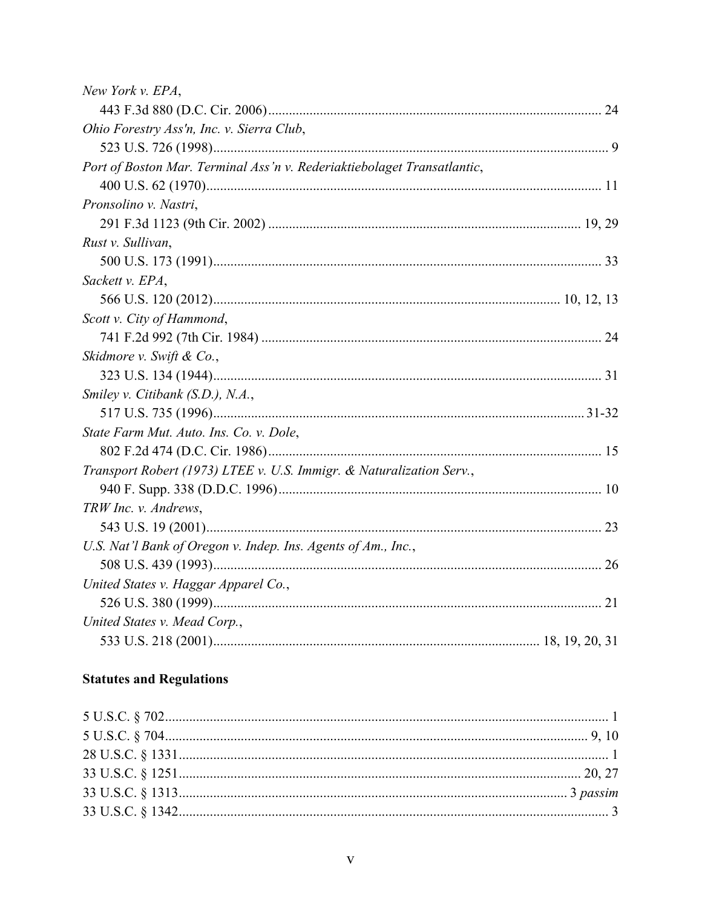| New York v. EPA,                                                        |  |
|-------------------------------------------------------------------------|--|
|                                                                         |  |
| Ohio Forestry Ass'n, Inc. v. Sierra Club,                               |  |
|                                                                         |  |
| Port of Boston Mar. Terminal Ass'n v. Rederiaktiebolaget Transatlantic, |  |
|                                                                         |  |
| Pronsolino v. Nastri,                                                   |  |
|                                                                         |  |
| Rust v. Sullivan,                                                       |  |
|                                                                         |  |
| Sackett v. EPA,                                                         |  |
|                                                                         |  |
| Scott v. City of Hammond,                                               |  |
|                                                                         |  |
| Skidmore v. Swift & Co.,                                                |  |
|                                                                         |  |
| Smiley v. Citibank (S.D.), N.A.,                                        |  |
|                                                                         |  |
| State Farm Mut. Auto. Ins. Co. v. Dole,                                 |  |
|                                                                         |  |
| Transport Robert (1973) LTEE v. U.S. Immigr. & Naturalization Serv.,    |  |
|                                                                         |  |
| TRW Inc. v. Andrews,                                                    |  |
|                                                                         |  |
| U.S. Nat'l Bank of Oregon v. Indep. Ins. Agents of Am., Inc.,           |  |
|                                                                         |  |
| United States v. Haggar Apparel Co.,                                    |  |
|                                                                         |  |
| United States v. Mead Corp.,                                            |  |
|                                                                         |  |

## **Statutes and Regulations**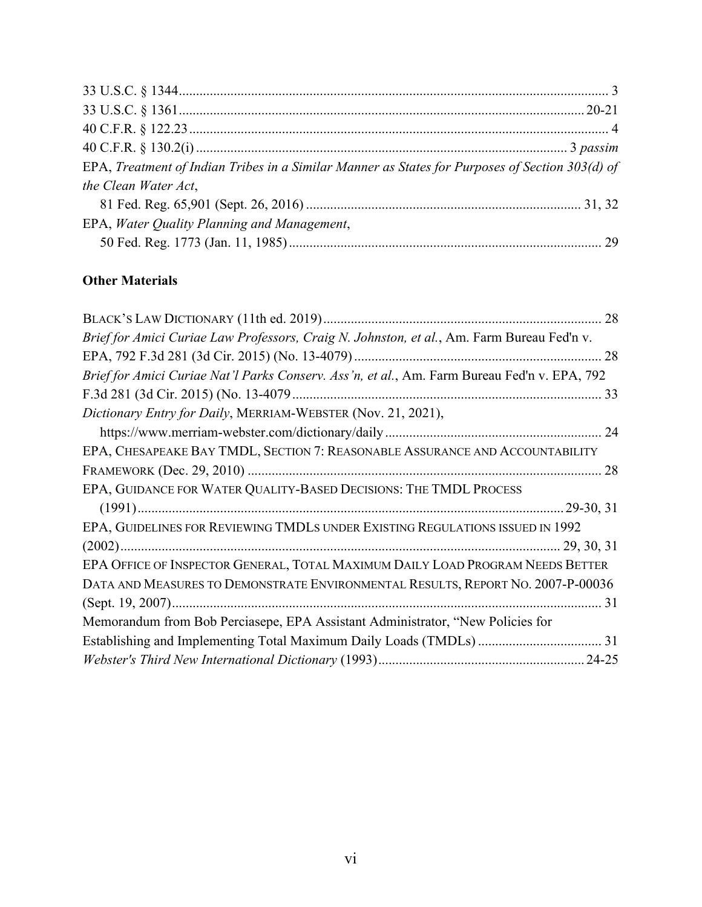| EPA, Treatment of Indian Tribes in a Similar Manner as States for Purposes of Section 303(d) of |  |
|-------------------------------------------------------------------------------------------------|--|
| the Clean Water Act,                                                                            |  |
|                                                                                                 |  |
| EPA, Water Quality Planning and Management,                                                     |  |
|                                                                                                 |  |

## **Other Materials**

| Brief for Amici Curiae Law Professors, Craig N. Johnston, et al., Am. Farm Bureau Fed'n v.   |
|----------------------------------------------------------------------------------------------|
|                                                                                              |
| Brief for Amici Curiae Nat'l Parks Conserv. Ass'n, et al., Am. Farm Bureau Fed'n v. EPA, 792 |
|                                                                                              |
| Dictionary Entry for Daily, MERRIAM-WEBSTER (Nov. 21, 2021),                                 |
|                                                                                              |
| EPA, CHESAPEAKE BAY TMDL, SECTION 7: REASONABLE ASSURANCE AND ACCOUNTABILITY                 |
|                                                                                              |
| EPA, GUIDANCE FOR WATER QUALITY-BASED DECISIONS: THE TMDL PROCESS                            |
|                                                                                              |
| EPA, GUIDELINES FOR REVIEWING TMDLS UNDER EXISTING REGULATIONS ISSUED IN 1992                |
|                                                                                              |
| EPA OFFICE OF INSPECTOR GENERAL, TOTAL MAXIMUM DAILY LOAD PROGRAM NEEDS BETTER               |
| DATA AND MEASURES TO DEMONSTRATE ENVIRONMENTAL RESULTS, REPORT NO. 2007-P-00036              |
|                                                                                              |
| Memorandum from Bob Perciasepe, EPA Assistant Administrator, "New Policies for               |
|                                                                                              |
|                                                                                              |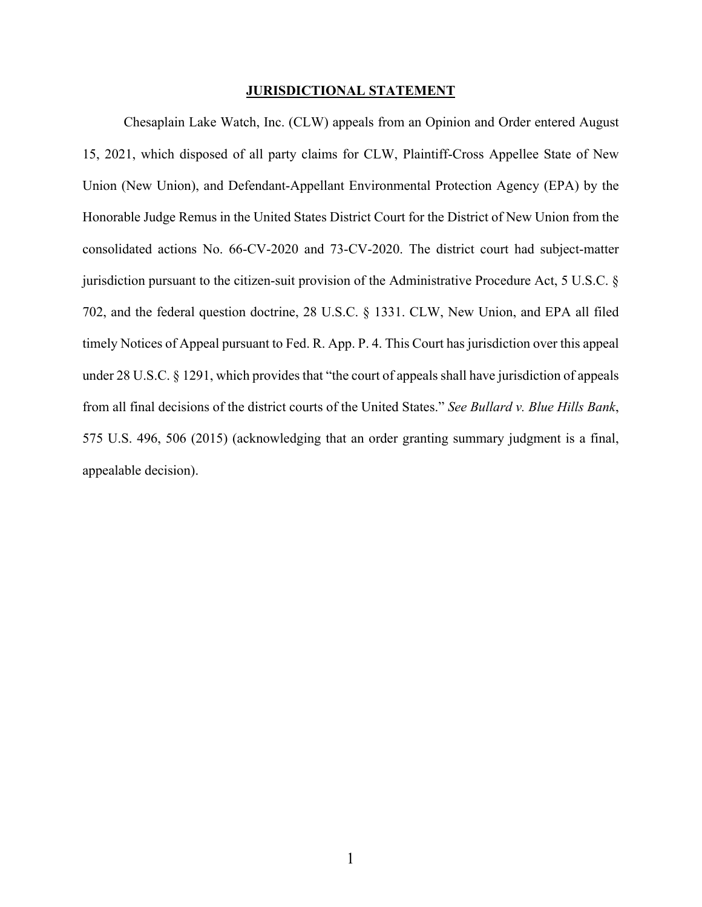### **JURISDICTIONAL STATEMENT**

Chesaplain Lake Watch, Inc. (CLW) appeals from an Opinion and Order entered August 15, 2021, which disposed of all party claims for CLW, Plaintiff-Cross Appellee State of New Union (New Union), and Defendant-Appellant Environmental Protection Agency (EPA) by the Honorable Judge Remus in the United States District Court for the District of New Union from the consolidated actions No. 66-CV-2020 and 73-CV-2020. The district court had subject-matter jurisdiction pursuant to the citizen-suit provision of the Administrative Procedure Act, 5 U.S.C. § 702, and the federal question doctrine, 28 U.S.C. § 1331. CLW, New Union, and EPA all filed timely Notices of Appeal pursuant to Fed. R. App. P. 4. This Court has jurisdiction over this appeal under 28 U.S.C. § 1291, which provides that "the court of appeals shall have jurisdiction of appeals from all final decisions of the district courts of the United States." *See Bullard v. Blue Hills Bank*, 575 U.S. 496, 506 (2015) (acknowledging that an order granting summary judgment is a final, appealable decision).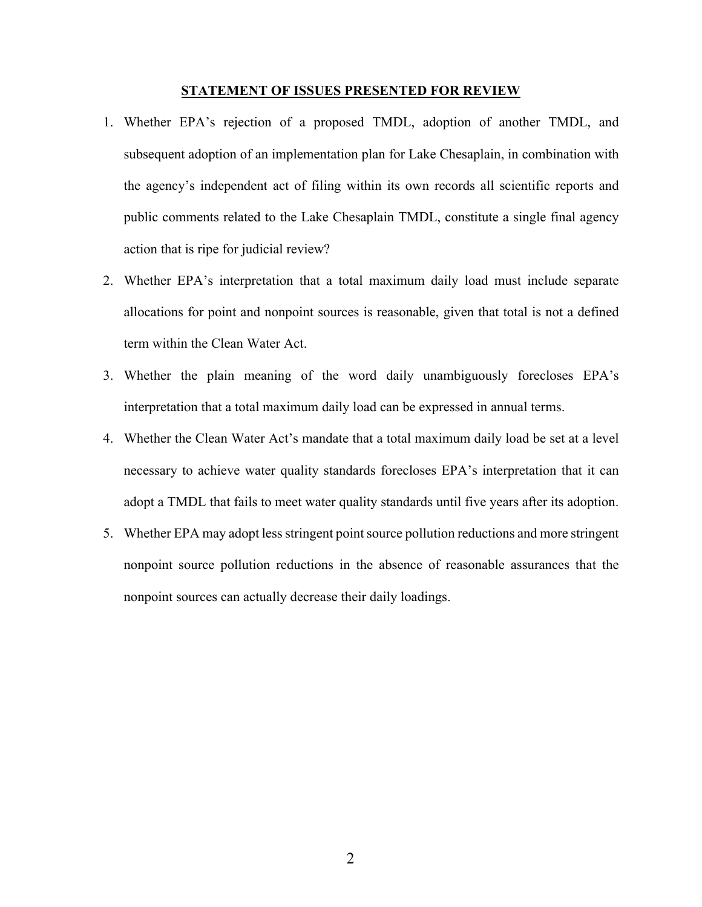### **STATEMENT OF ISSUES PRESENTED FOR REVIEW**

- 1. Whether EPA's rejection of a proposed TMDL, adoption of another TMDL, and subsequent adoption of an implementation plan for Lake Chesaplain, in combination with the agency's independent act of filing within its own records all scientific reports and public comments related to the Lake Chesaplain TMDL, constitute a single final agency action that is ripe for judicial review?
- 2. Whether EPA's interpretation that a total maximum daily load must include separate allocations for point and nonpoint sources is reasonable, given that total is not a defined term within the Clean Water Act.
- 3. Whether the plain meaning of the word daily unambiguously forecloses EPA's interpretation that a total maximum daily load can be expressed in annual terms.
- 4. Whether the Clean Water Act's mandate that a total maximum daily load be set at a level necessary to achieve water quality standards forecloses EPA's interpretation that it can adopt a TMDL that fails to meet water quality standards until five years after its adoption.
- 5. Whether EPA may adopt less stringent point source pollution reductions and more stringent nonpoint source pollution reductions in the absence of reasonable assurances that the nonpoint sources can actually decrease their daily loadings.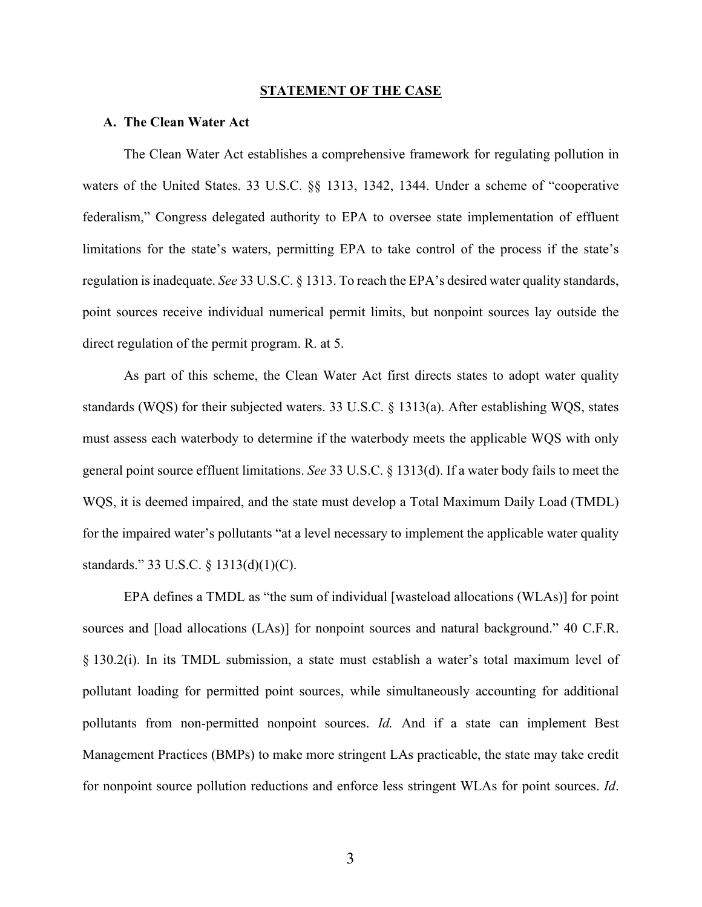#### **STATEMENT OF THE CASE**

### **A. The Clean Water Act**

The Clean Water Act establishes a comprehensive framework for regulating pollution in waters of the United States. 33 U.S.C. §§ 1313, 1342, 1344. Under a scheme of "cooperative federalism," Congress delegated authority to EPA to oversee state implementation of effluent limitations for the state's waters, permitting EPA to take control of the process if the state's regulation is inadequate. *See* 33 U.S.C. § 1313. To reach the EPA's desired water quality standards, point sources receive individual numerical permit limits, but nonpoint sources lay outside the direct regulation of the permit program. R. at 5.

As part of this scheme, the Clean Water Act first directs states to adopt water quality standards (WQS) for their subjected waters. 33 U.S.C. § 1313(a). After establishing WQS, states must assess each waterbody to determine if the waterbody meets the applicable WQS with only general point source effluent limitations. *See* 33 U.S.C. § 1313(d). If a water body fails to meet the WQS, it is deemed impaired, and the state must develop a Total Maximum Daily Load (TMDL) for the impaired water's pollutants "at a level necessary to implement the applicable water quality standards." 33 U.S.C. § 1313(d)(1)(C).

EPA defines a TMDL as "the sum of individual [wasteload allocations (WLAs)] for point sources and [load allocations (LAs)] for nonpoint sources and natural background." 40 C.F.R. § 130.2(i). In its TMDL submission, a state must establish a water's total maximum level of pollutant loading for permitted point sources, while simultaneously accounting for additional pollutants from non-permitted nonpoint sources. *Id.* And if a state can implement Best Management Practices (BMPs) to make more stringent LAs practicable, the state may take credit for nonpoint source pollution reductions and enforce less stringent WLAs for point sources. *Id*.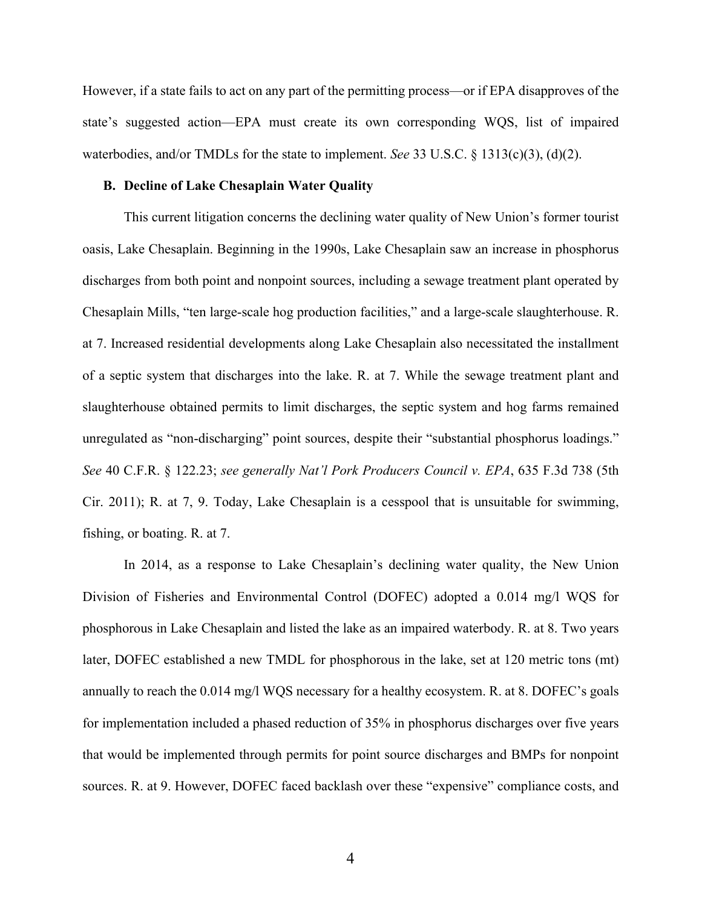However, if a state fails to act on any part of the permitting process—or if EPA disapproves of the state's suggested action—EPA must create its own corresponding WQS, list of impaired waterbodies, and/or TMDLs for the state to implement. *See* 33 U.S.C. § 1313(c)(3), (d)(2).

#### **B. Decline of Lake Chesaplain Water Quality**

This current litigation concerns the declining water quality of New Union's former tourist oasis, Lake Chesaplain. Beginning in the 1990s, Lake Chesaplain saw an increase in phosphorus discharges from both point and nonpoint sources, including a sewage treatment plant operated by Chesaplain Mills, "ten large-scale hog production facilities," and a large-scale slaughterhouse. R. at 7. Increased residential developments along Lake Chesaplain also necessitated the installment of a septic system that discharges into the lake. R. at 7. While the sewage treatment plant and slaughterhouse obtained permits to limit discharges, the septic system and hog farms remained unregulated as "non-discharging" point sources, despite their "substantial phosphorus loadings." *See* 40 C.F.R. § 122.23; *see generally Nat'l Pork Producers Council v. EPA*, 635 F.3d 738 (5th Cir. 2011); R. at 7, 9. Today, Lake Chesaplain is a cesspool that is unsuitable for swimming, fishing, or boating. R. at 7.

In 2014, as a response to Lake Chesaplain's declining water quality, the New Union Division of Fisheries and Environmental Control (DOFEC) adopted a 0.014 mg/l WQS for phosphorous in Lake Chesaplain and listed the lake as an impaired waterbody. R. at 8. Two years later, DOFEC established a new TMDL for phosphorous in the lake, set at 120 metric tons (mt) annually to reach the 0.014 mg/l WQS necessary for a healthy ecosystem. R. at 8. DOFEC's goals for implementation included a phased reduction of 35% in phosphorus discharges over five years that would be implemented through permits for point source discharges and BMPs for nonpoint sources. R. at 9. However, DOFEC faced backlash over these "expensive" compliance costs, and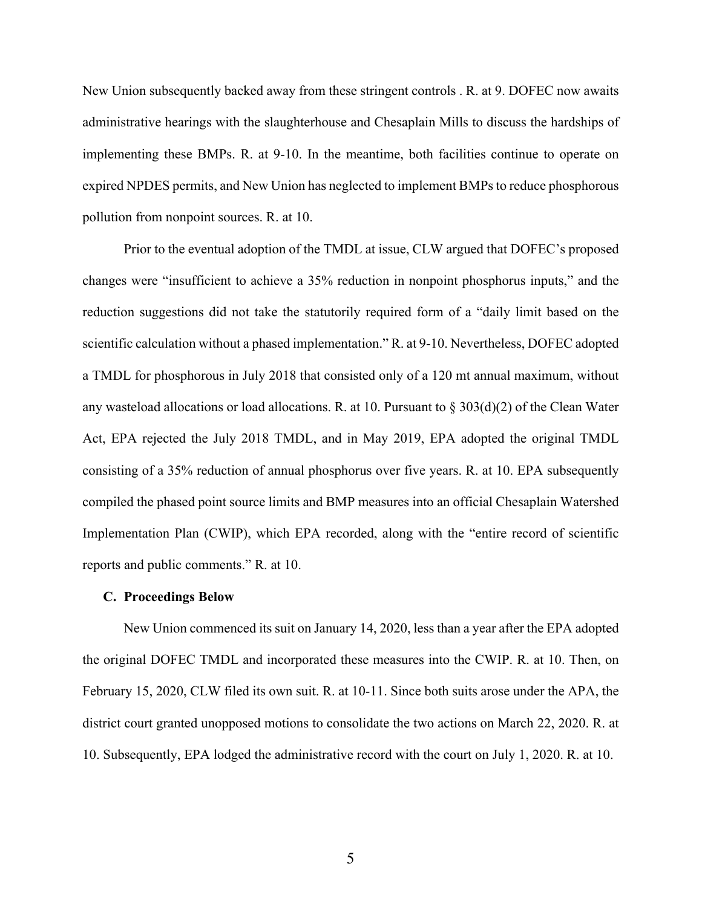New Union subsequently backed away from these stringent controls . R. at 9. DOFEC now awaits administrative hearings with the slaughterhouse and Chesaplain Mills to discuss the hardships of implementing these BMPs. R. at 9-10. In the meantime, both facilities continue to operate on expired NPDES permits, and New Union has neglected to implement BMPs to reduce phosphorous pollution from nonpoint sources. R. at 10.

Prior to the eventual adoption of the TMDL at issue, CLW argued that DOFEC's proposed changes were "insufficient to achieve a 35% reduction in nonpoint phosphorus inputs," and the reduction suggestions did not take the statutorily required form of a "daily limit based on the scientific calculation without a phased implementation." R. at 9-10. Nevertheless, DOFEC adopted a TMDL for phosphorous in July 2018 that consisted only of a 120 mt annual maximum, without any wasteload allocations or load allocations. R. at 10. Pursuant to  $\S 303(d)(2)$  of the Clean Water Act, EPA rejected the July 2018 TMDL, and in May 2019, EPA adopted the original TMDL consisting of a 35% reduction of annual phosphorus over five years. R. at 10. EPA subsequently compiled the phased point source limits and BMP measures into an official Chesaplain Watershed Implementation Plan (CWIP), which EPA recorded, along with the "entire record of scientific reports and public comments." R. at 10.

#### **C. Proceedings Below**

New Union commenced its suit on January 14, 2020, less than a year after the EPA adopted the original DOFEC TMDL and incorporated these measures into the CWIP. R. at 10. Then, on February 15, 2020, CLW filed its own suit. R. at 10-11. Since both suits arose under the APA, the district court granted unopposed motions to consolidate the two actions on March 22, 2020. R. at 10. Subsequently, EPA lodged the administrative record with the court on July 1, 2020. R. at 10.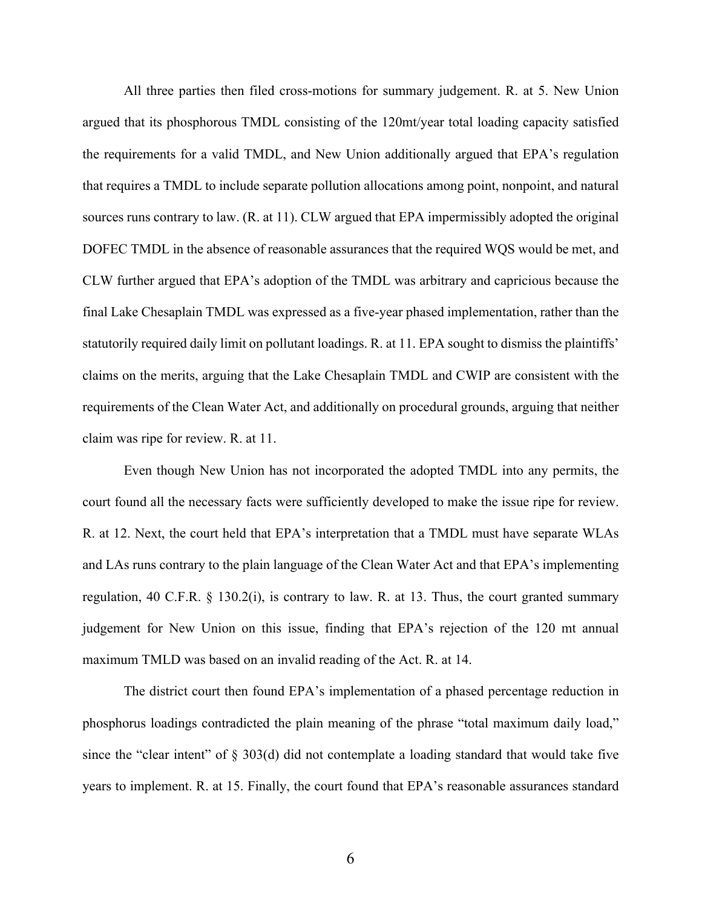All three parties then filed cross-motions for summary judgement. R. at 5. New Union argued that its phosphorous TMDL consisting of the 120mt/year total loading capacity satisfied the requirements for a valid TMDL, and New Union additionally argued that EPA's regulation that requires a TMDL to include separate pollution allocations among point, nonpoint, and natural sources runs contrary to law. (R. at 11). CLW argued that EPA impermissibly adopted the original DOFEC TMDL in the absence of reasonable assurances that the required WQS would be met, and CLW further argued that EPA's adoption of the TMDL was arbitrary and capricious because the final Lake Chesaplain TMDL was expressed as a five-year phased implementation, rather than the statutorily required daily limit on pollutant loadings. R. at 11. EPA sought to dismiss the plaintiffs' claims on the merits, arguing that the Lake Chesaplain TMDL and CWIP are consistent with the requirements of the Clean Water Act, and additionally on procedural grounds, arguing that neither claim was ripe for review. R. at 11.

Even though New Union has not incorporated the adopted TMDL into any permits, the court found all the necessary facts were sufficiently developed to make the issue ripe for review. R. at 12. Next, the court held that EPA's interpretation that a TMDL must have separate WLAs and LAs runs contrary to the plain language of the Clean Water Act and that EPA's implementing regulation, 40 C.F.R. § 130.2(i), is contrary to law. R. at 13. Thus, the court granted summary judgement for New Union on this issue, finding that EPA's rejection of the 120 mt annual maximum TMLD was based on an invalid reading of the Act. R. at 14.

The district court then found EPA's implementation of a phased percentage reduction in phosphorus loadings contradicted the plain meaning of the phrase "total maximum daily load," since the "clear intent" of  $\S 303(d)$  did not contemplate a loading standard that would take five years to implement. R. at 15. Finally, the court found that EPA's reasonable assurances standard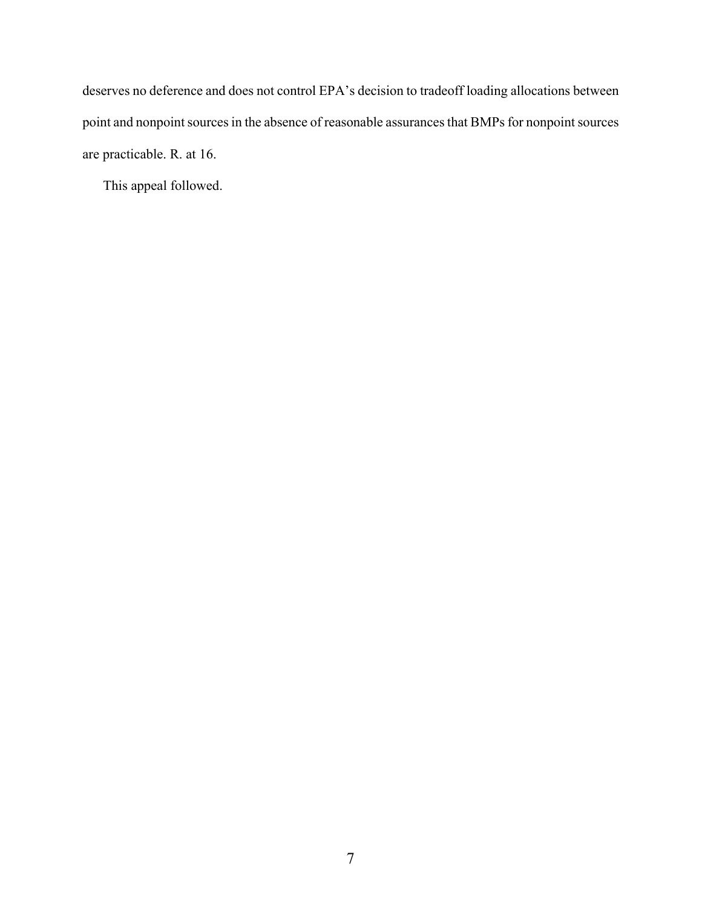deserves no deference and does not control EPA's decision to tradeoff loading allocations between point and nonpoint sources in the absence of reasonable assurances that BMPs for nonpoint sources are practicable. R. at 16.

This appeal followed.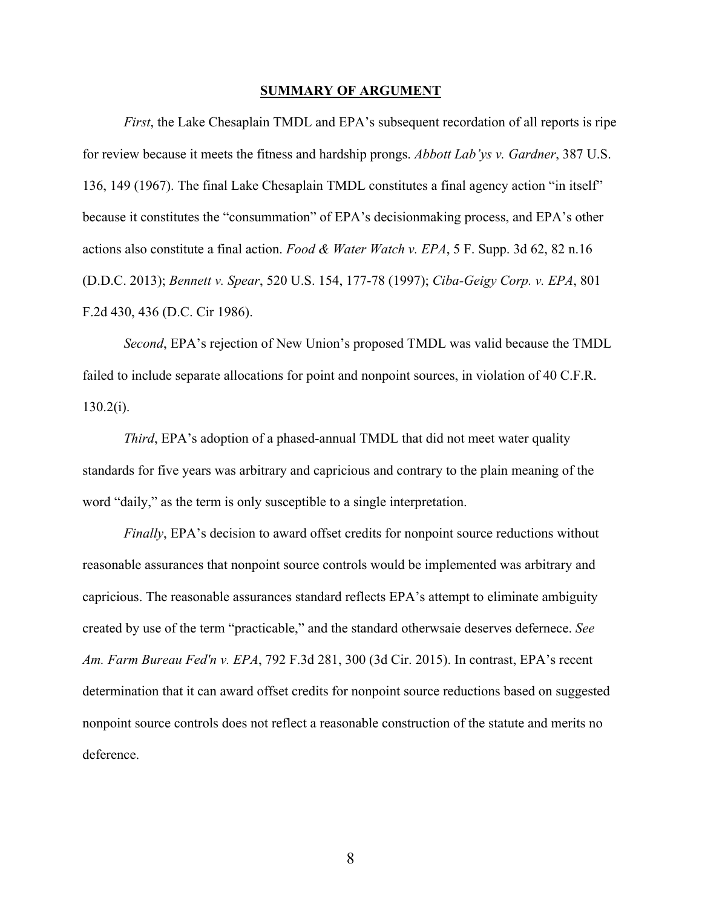#### **SUMMARY OF ARGUMENT**

*First*, the Lake Chesaplain TMDL and EPA's subsequent recordation of all reports is ripe for review because it meets the fitness and hardship prongs. *Abbott Lab'ys v. Gardner*, 387 U.S. 136, 149 (1967). The final Lake Chesaplain TMDL constitutes a final agency action "in itself" because it constitutes the "consummation" of EPA's decisionmaking process, and EPA's other actions also constitute a final action. *Food & Water Watch v. EPA*, 5 F. Supp. 3d 62, 82 n.16 (D.D.C. 2013); *Bennett v. Spear*, 520 U.S. 154, 177-78 (1997); *Ciba-Geigy Corp. v. EPA*, 801 F.2d 430, 436 (D.C. Cir 1986).

*Second*, EPA's rejection of New Union's proposed TMDL was valid because the TMDL failed to include separate allocations for point and nonpoint sources, in violation of 40 C.F.R. 130.2(i).

*Third*, EPA's adoption of a phased-annual TMDL that did not meet water quality standards for five years was arbitrary and capricious and contrary to the plain meaning of the word "daily," as the term is only susceptible to a single interpretation.

*Finally*, EPA's decision to award offset credits for nonpoint source reductions without reasonable assurances that nonpoint source controls would be implemented was arbitrary and capricious. The reasonable assurances standard reflects EPA's attempt to eliminate ambiguity created by use of the term "practicable," and the standard otherwsaie deserves defernece. *See Am. Farm Bureau Fed'n v. EPA*, 792 F.3d 281, 300 (3d Cir. 2015). In contrast, EPA's recent determination that it can award offset credits for nonpoint source reductions based on suggested nonpoint source controls does not reflect a reasonable construction of the statute and merits no deference.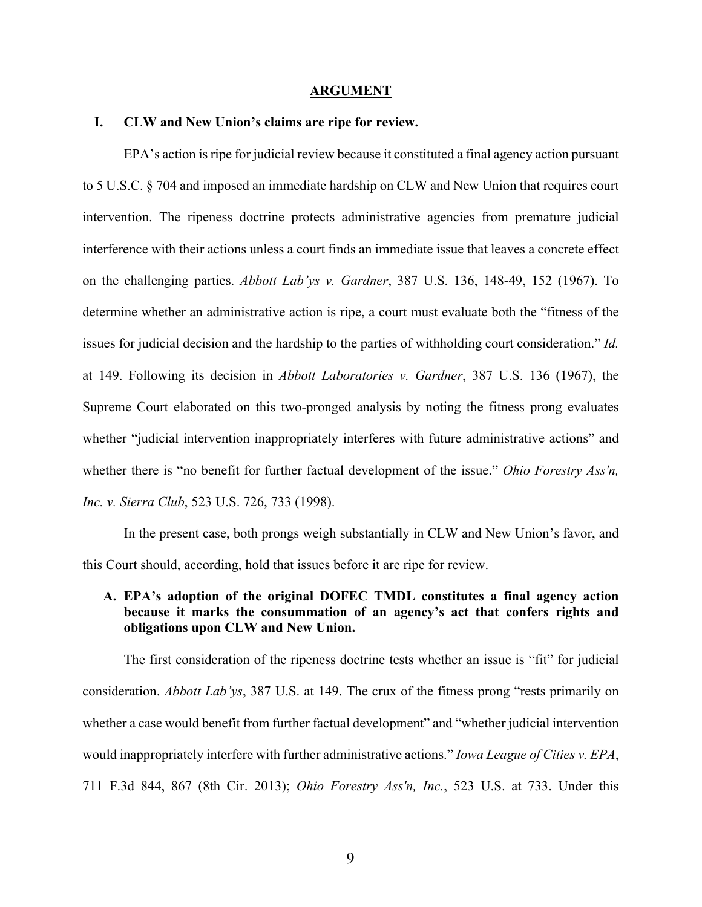#### **ARGUMENT**

### **I. CLW and New Union's claims are ripe for review.**

EPA's action is ripe for judicial review because it constituted a final agency action pursuant to 5 U.S.C. § 704 and imposed an immediate hardship on CLW and New Union that requires court intervention. The ripeness doctrine protects administrative agencies from premature judicial interference with their actions unless a court finds an immediate issue that leaves a concrete effect on the challenging parties. *Abbott Lab'ys v. Gardner*, 387 U.S. 136, 148-49, 152 (1967). To determine whether an administrative action is ripe, a court must evaluate both the "fitness of the issues for judicial decision and the hardship to the parties of withholding court consideration." *Id.*  at 149. Following its decision in *Abbott Laboratories v. Gardner*, 387 U.S. 136 (1967), the Supreme Court elaborated on this two-pronged analysis by noting the fitness prong evaluates whether "judicial intervention inappropriately interferes with future administrative actions" and whether there is "no benefit for further factual development of the issue." *Ohio Forestry Ass'n, Inc. v. Sierra Club*, 523 U.S. 726, 733 (1998).

In the present case, both prongs weigh substantially in CLW and New Union's favor, and this Court should, according, hold that issues before it are ripe for review.

## **A. EPA's adoption of the original DOFEC TMDL constitutes a final agency action because it marks the consummation of an agency's act that confers rights and obligations upon CLW and New Union.**

The first consideration of the ripeness doctrine tests whether an issue is "fit" for judicial consideration. *Abbott Lab'ys*, 387 U.S. at 149. The crux of the fitness prong "rests primarily on whether a case would benefit from further factual development" and "whether judicial intervention would inappropriately interfere with further administrative actions." *Iowa League of Cities v. EPA*, 711 F.3d 844, 867 (8th Cir. 2013); *Ohio Forestry Ass'n, Inc.*, 523 U.S. at 733. Under this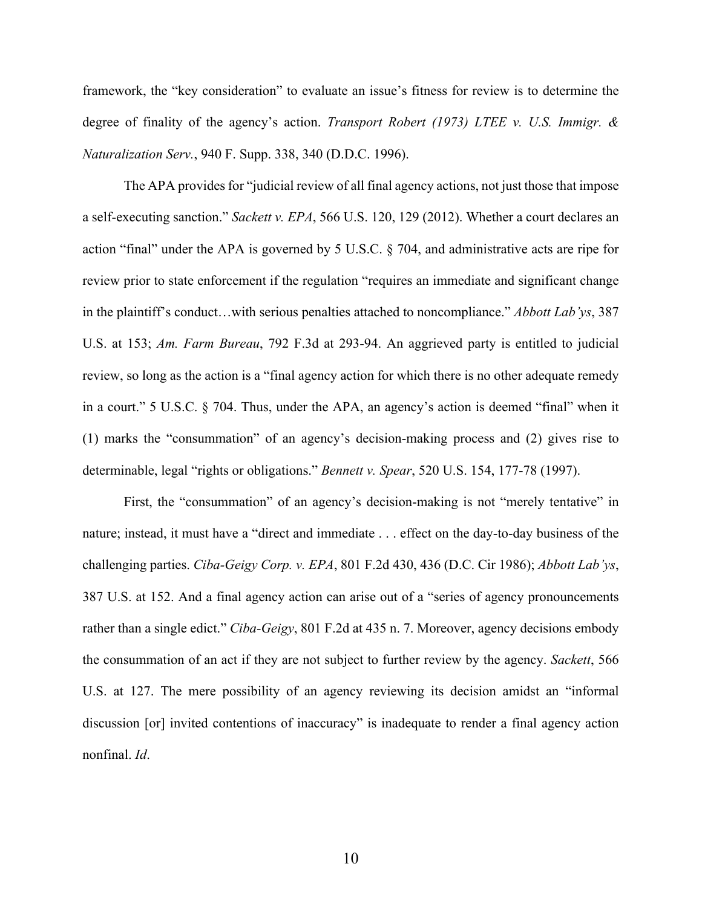framework, the "key consideration" to evaluate an issue's fitness for review is to determine the degree of finality of the agency's action. *Transport Robert (1973) LTEE v. U.S. Immigr. & Naturalization Serv.*, 940 F. Supp. 338, 340 (D.D.C. 1996).

The APA provides for "judicial review of all final agency actions, not just those that impose a self-executing sanction." *Sackett v. EPA*, 566 U.S. 120, 129 (2012). Whether a court declares an action "final" under the APA is governed by 5 U.S.C. § 704, and administrative acts are ripe for review prior to state enforcement if the regulation "requires an immediate and significant change in the plaintiff's conduct…with serious penalties attached to noncompliance." *Abbott Lab'ys*, 387 U.S. at 153; *Am. Farm Bureau*, 792 F.3d at 293-94. An aggrieved party is entitled to judicial review, so long as the action is a "final agency action for which there is no other adequate remedy in a court." 5 U.S.C. § 704. Thus, under the APA, an agency's action is deemed "final" when it (1) marks the "consummation" of an agency's decision-making process and (2) gives rise to determinable, legal "rights or obligations." *Bennett v. Spear*, 520 U.S. 154, 177-78 (1997).

First, the "consummation" of an agency's decision-making is not "merely tentative" in nature; instead, it must have a "direct and immediate . . . effect on the day-to-day business of the challenging parties. *Ciba-Geigy Corp. v. EPA*, 801 F.2d 430, 436 (D.C. Cir 1986); *Abbott Lab'ys*, 387 U.S. at 152. And a final agency action can arise out of a "series of agency pronouncements rather than a single edict." *Ciba-Geigy*, 801 F.2d at 435 n. 7. Moreover, agency decisions embody the consummation of an act if they are not subject to further review by the agency. *Sackett*, 566 U.S. at 127. The mere possibility of an agency reviewing its decision amidst an "informal discussion [or] invited contentions of inaccuracy" is inadequate to render a final agency action nonfinal. *Id*.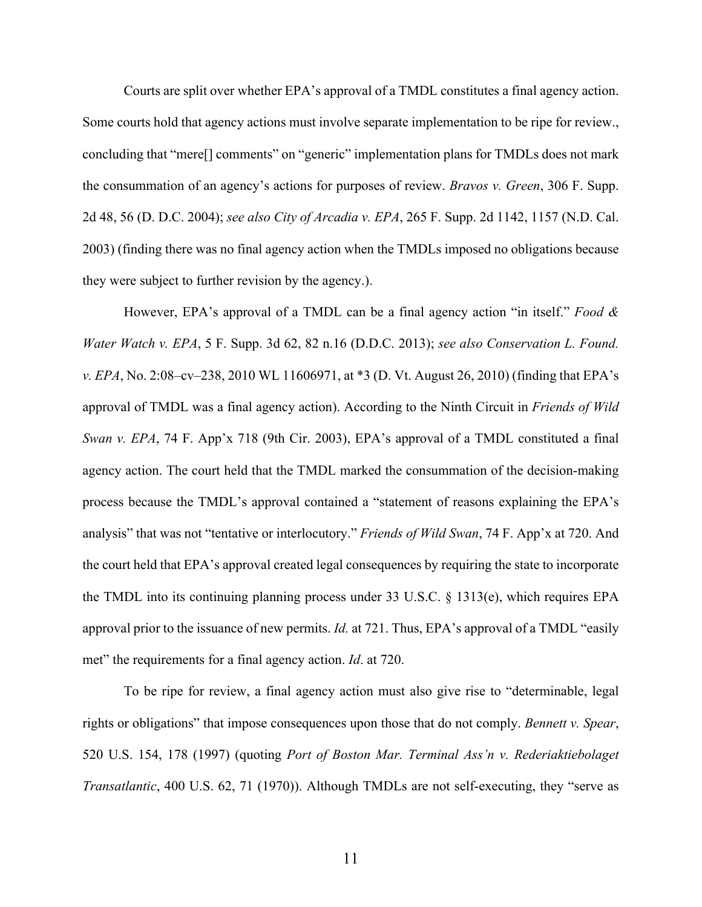Courts are split over whether EPA's approval of a TMDL constitutes a final agency action. Some courts hold that agency actions must involve separate implementation to be ripe for review., concluding that "mere[] comments" on "generic" implementation plans for TMDLs does not mark the consummation of an agency's actions for purposes of review. *Bravos v. Green*, 306 F. Supp. 2d 48, 56 (D. D.C. 2004); *see also City of Arcadia v. EPA*, 265 F. Supp. 2d 1142, 1157 (N.D. Cal. 2003) (finding there was no final agency action when the TMDLs imposed no obligations because they were subject to further revision by the agency.).

However, EPA's approval of a TMDL can be a final agency action "in itself." *Food & Water Watch v. EPA*, 5 F. Supp. 3d 62, 82 n.16 (D.D.C. 2013); *see also Conservation L. Found. v. EPA*, No. 2:08–cv–238, 2010 WL 11606971, at \*3 (D. Vt. August 26, 2010) (finding that EPA's approval of TMDL was a final agency action). According to the Ninth Circuit in *Friends of Wild Swan v. EPA*, 74 F. App'x 718 (9th Cir. 2003), EPA's approval of a TMDL constituted a final agency action. The court held that the TMDL marked the consummation of the decision-making process because the TMDL's approval contained a "statement of reasons explaining the EPA's analysis" that was not "tentative or interlocutory." *Friends of Wild Swan*, 74 F. App'x at 720. And the court held that EPA's approval created legal consequences by requiring the state to incorporate the TMDL into its continuing planning process under 33 U.S.C. § 1313(e), which requires EPA approval prior to the issuance of new permits. *Id.* at 721. Thus, EPA's approval of a TMDL "easily met" the requirements for a final agency action. *Id*. at 720.

To be ripe for review, a final agency action must also give rise to "determinable, legal rights or obligations" that impose consequences upon those that do not comply. *Bennett v. Spear*, 520 U.S. 154, 178 (1997) (quoting *Port of Boston Mar. Terminal Ass'n v. Rederiaktiebolaget Transatlantic*, 400 U.S. 62, 71 (1970)). Although TMDLs are not self-executing, they "serve as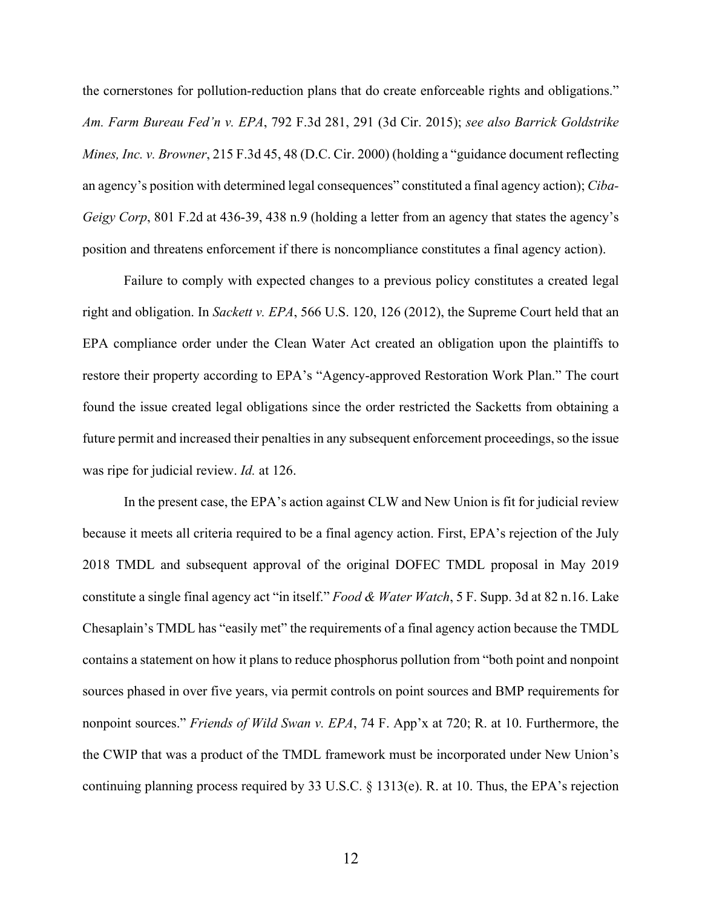the cornerstones for pollution-reduction plans that do create enforceable rights and obligations." *Am. Farm Bureau Fed'n v. EPA*, 792 F.3d 281, 291 (3d Cir. 2015); *see also Barrick Goldstrike Mines, Inc. v. Browner*, 215 F.3d 45, 48 (D.C. Cir. 2000) (holding a "guidance document reflecting an agency's position with determined legal consequences" constituted a final agency action); *Ciba-Geigy Corp*, 801 F.2d at 436-39, 438 n.9 (holding a letter from an agency that states the agency's position and threatens enforcement if there is noncompliance constitutes a final agency action).

Failure to comply with expected changes to a previous policy constitutes a created legal right and obligation. In *Sackett v. EPA*, 566 U.S. 120, 126 (2012), the Supreme Court held that an EPA compliance order under the Clean Water Act created an obligation upon the plaintiffs to restore their property according to EPA's "Agency-approved Restoration Work Plan." The court found the issue created legal obligations since the order restricted the Sacketts from obtaining a future permit and increased their penalties in any subsequent enforcement proceedings, so the issue was ripe for judicial review. *Id.* at 126.

In the present case, the EPA's action against CLW and New Union is fit for judicial review because it meets all criteria required to be a final agency action. First, EPA's rejection of the July 2018 TMDL and subsequent approval of the original DOFEC TMDL proposal in May 2019 constitute a single final agency act "in itself." *Food & Water Watch*, 5 F. Supp. 3d at 82 n.16. Lake Chesaplain's TMDL has "easily met" the requirements of a final agency action because the TMDL contains a statement on how it plans to reduce phosphorus pollution from "both point and nonpoint sources phased in over five years, via permit controls on point sources and BMP requirements for nonpoint sources." *Friends of Wild Swan v. EPA*, 74 F. App'x at 720; R. at 10. Furthermore, the the CWIP that was a product of the TMDL framework must be incorporated under New Union's continuing planning process required by 33 U.S.C. § 1313(e). R. at 10. Thus, the EPA's rejection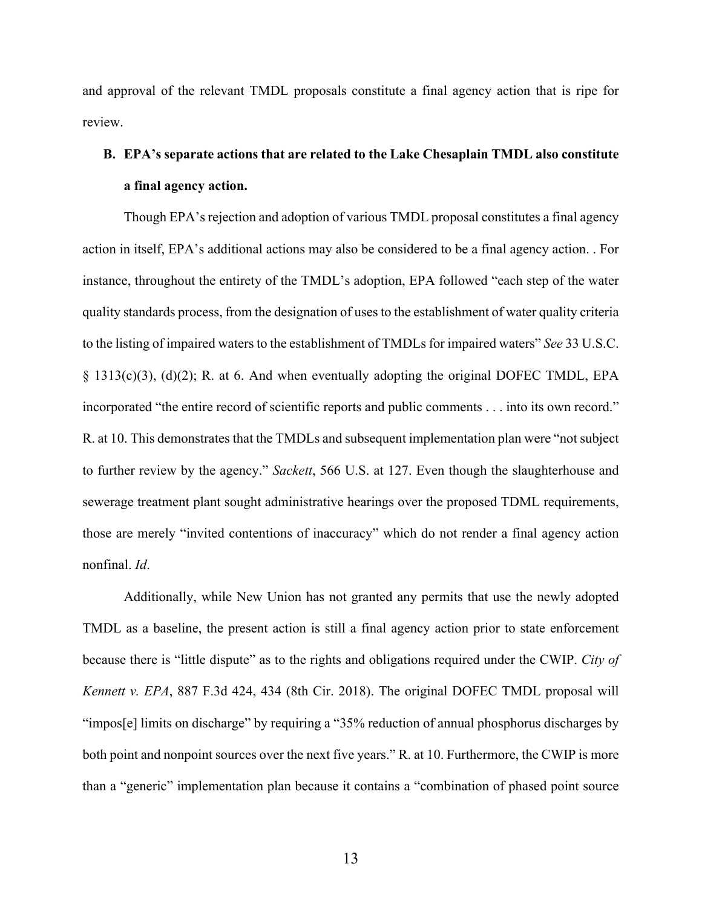and approval of the relevant TMDL proposals constitute a final agency action that is ripe for review.

# **B. EPA's separate actions that are related to the Lake Chesaplain TMDL also constitute a final agency action.**

Though EPA's rejection and adoption of various TMDL proposal constitutes a final agency action in itself, EPA's additional actions may also be considered to be a final agency action. . For instance, throughout the entirety of the TMDL's adoption, EPA followed "each step of the water quality standards process, from the designation of uses to the establishment of water quality criteria to the listing of impaired waters to the establishment of TMDLs for impaired waters" *See* 33 U.S.C. § 1313(c)(3), (d)(2); R. at 6. And when eventually adopting the original DOFEC TMDL, EPA incorporated "the entire record of scientific reports and public comments . . . into its own record." R. at 10. This demonstrates that the TMDLs and subsequent implementation plan were "not subject to further review by the agency." *Sackett*, 566 U.S. at 127. Even though the slaughterhouse and sewerage treatment plant sought administrative hearings over the proposed TDML requirements, those are merely "invited contentions of inaccuracy" which do not render a final agency action nonfinal. *Id*.

Additionally, while New Union has not granted any permits that use the newly adopted TMDL as a baseline, the present action is still a final agency action prior to state enforcement because there is "little dispute" as to the rights and obligations required under the CWIP. *City of Kennett v. EPA*, 887 F.3d 424, 434 (8th Cir. 2018). The original DOFEC TMDL proposal will "impos[e] limits on discharge" by requiring a "35% reduction of annual phosphorus discharges by both point and nonpoint sources over the next five years." R. at 10. Furthermore, the CWIP is more than a "generic" implementation plan because it contains a "combination of phased point source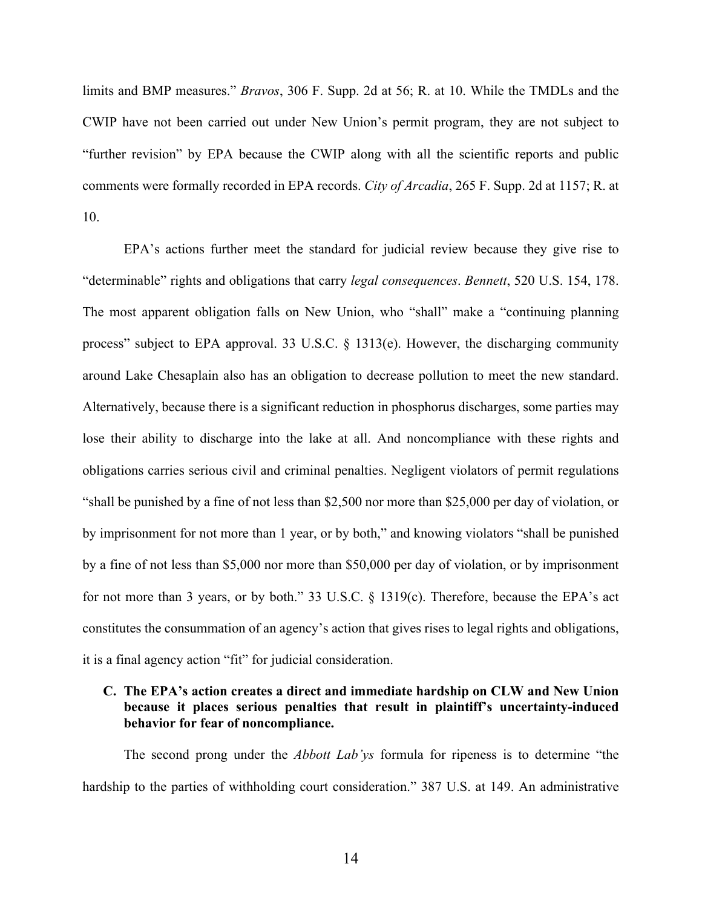limits and BMP measures." *Bravos*, 306 F. Supp. 2d at 56; R. at 10. While the TMDLs and the CWIP have not been carried out under New Union's permit program, they are not subject to "further revision" by EPA because the CWIP along with all the scientific reports and public comments were formally recorded in EPA records. *City of Arcadia*, 265 F. Supp. 2d at 1157; R. at 10.

EPA's actions further meet the standard for judicial review because they give rise to "determinable" rights and obligations that carry *legal consequences*. *Bennett*, 520 U.S. 154, 178. The most apparent obligation falls on New Union, who "shall" make a "continuing planning process" subject to EPA approval. 33 U.S.C. § 1313(e). However, the discharging community around Lake Chesaplain also has an obligation to decrease pollution to meet the new standard. Alternatively, because there is a significant reduction in phosphorus discharges, some parties may lose their ability to discharge into the lake at all. And noncompliance with these rights and obligations carries serious civil and criminal penalties. Negligent violators of permit regulations "shall be punished by a fine of not less than \$2,500 nor more than \$25,000 per day of violation, or by imprisonment for not more than 1 year, or by both," and knowing violators "shall be punished by a fine of not less than \$5,000 nor more than \$50,000 per day of violation, or by imprisonment for not more than 3 years, or by both." 33 U.S.C. § 1319(c). Therefore, because the EPA's act constitutes the consummation of an agency's action that gives rises to legal rights and obligations, it is a final agency action "fit" for judicial consideration.

## **C. The EPA's action creates a direct and immediate hardship on CLW and New Union because it places serious penalties that result in plaintiff's uncertainty-induced behavior for fear of noncompliance.**

The second prong under the *Abbott Lab'ys* formula for ripeness is to determine "the hardship to the parties of withholding court consideration." 387 U.S. at 149. An administrative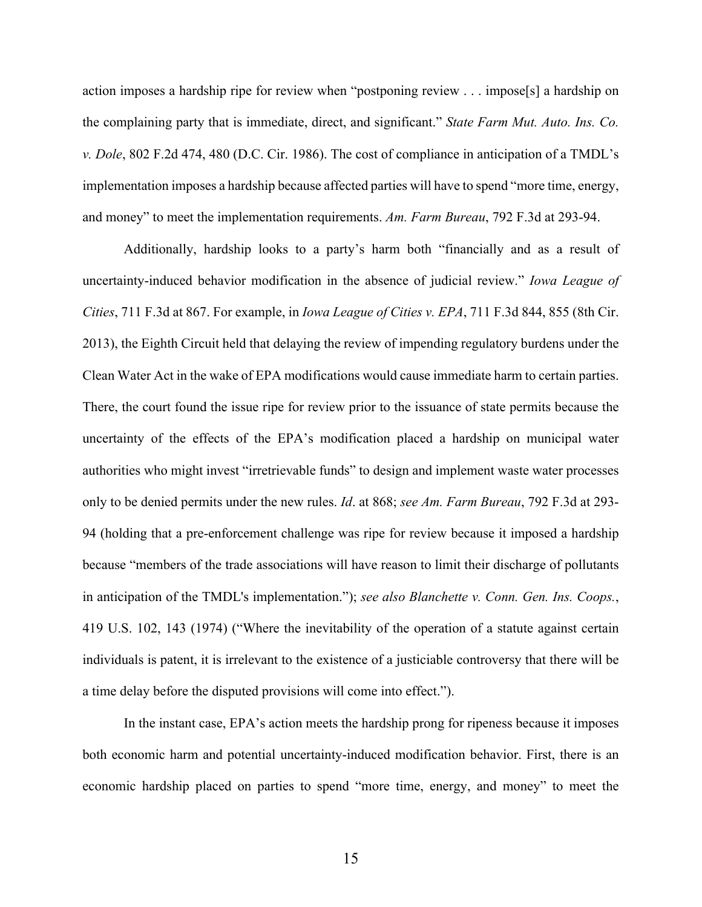action imposes a hardship ripe for review when "postponing review . . . impose[s] a hardship on the complaining party that is immediate, direct, and significant." *State Farm Mut. Auto. Ins. Co. v. Dole*, 802 F.2d 474, 480 (D.C. Cir. 1986). The cost of compliance in anticipation of a TMDL's implementation imposes a hardship because affected parties will have to spend "more time, energy, and money" to meet the implementation requirements. *Am. Farm Bureau*, 792 F.3d at 293-94.

Additionally, hardship looks to a party's harm both "financially and as a result of uncertainty-induced behavior modification in the absence of judicial review." *Iowa League of Cities*, 711 F.3d at 867. For example, in *Iowa League of Cities v. EPA*, 711 F.3d 844, 855 (8th Cir. 2013), the Eighth Circuit held that delaying the review of impending regulatory burdens under the Clean Water Act in the wake of EPA modifications would cause immediate harm to certain parties. There, the court found the issue ripe for review prior to the issuance of state permits because the uncertainty of the effects of the EPA's modification placed a hardship on municipal water authorities who might invest "irretrievable funds" to design and implement waste water processes only to be denied permits under the new rules. *Id*. at 868; *see Am. Farm Bureau*, 792 F.3d at 293- 94 (holding that a pre-enforcement challenge was ripe for review because it imposed a hardship because "members of the trade associations will have reason to limit their discharge of pollutants in anticipation of the TMDL's implementation."); *see also Blanchette v. Conn. Gen. Ins. Coops.*, 419 U.S. 102, 143 (1974) ("Where the inevitability of the operation of a statute against certain individuals is patent, it is irrelevant to the existence of a justiciable controversy that there will be a time delay before the disputed provisions will come into effect.").

In the instant case, EPA's action meets the hardship prong for ripeness because it imposes both economic harm and potential uncertainty-induced modification behavior. First, there is an economic hardship placed on parties to spend "more time, energy, and money" to meet the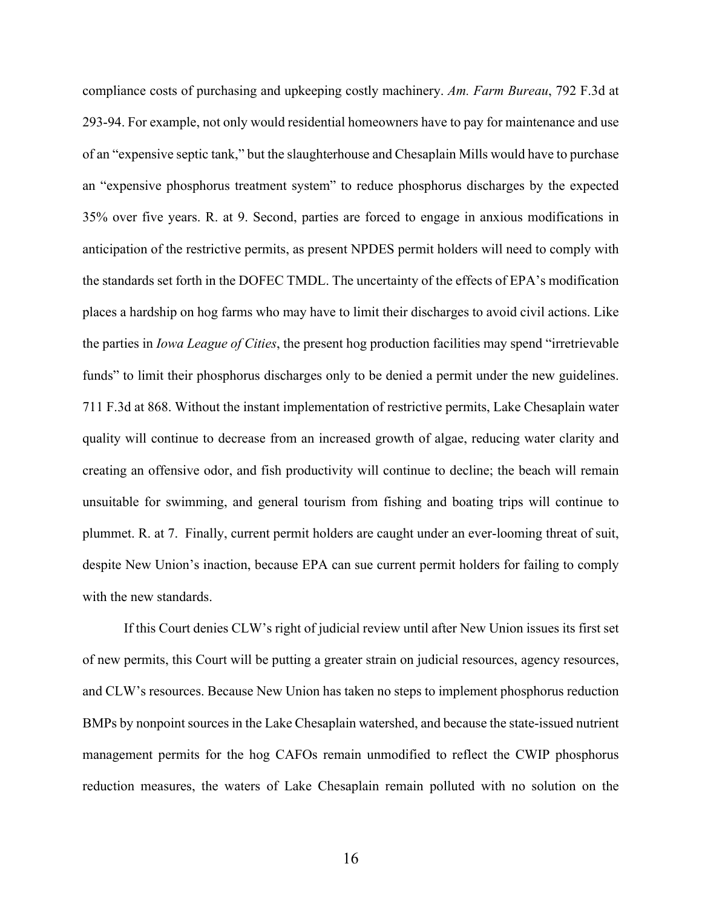compliance costs of purchasing and upkeeping costly machinery. *Am. Farm Bureau*, 792 F.3d at 293-94. For example, not only would residential homeowners have to pay for maintenance and use of an "expensive septic tank," but the slaughterhouse and Chesaplain Mills would have to purchase an "expensive phosphorus treatment system" to reduce phosphorus discharges by the expected 35% over five years. R. at 9. Second, parties are forced to engage in anxious modifications in anticipation of the restrictive permits, as present NPDES permit holders will need to comply with the standards set forth in the DOFEC TMDL. The uncertainty of the effects of EPA's modification places a hardship on hog farms who may have to limit their discharges to avoid civil actions. Like the parties in *Iowa League of Cities*, the present hog production facilities may spend "irretrievable funds" to limit their phosphorus discharges only to be denied a permit under the new guidelines. 711 F.3d at 868. Without the instant implementation of restrictive permits, Lake Chesaplain water quality will continue to decrease from an increased growth of algae, reducing water clarity and creating an offensive odor, and fish productivity will continue to decline; the beach will remain unsuitable for swimming, and general tourism from fishing and boating trips will continue to plummet. R. at 7. Finally, current permit holders are caught under an ever-looming threat of suit, despite New Union's inaction, because EPA can sue current permit holders for failing to comply with the new standards.

If this Court denies CLW's right of judicial review until after New Union issues its first set of new permits, this Court will be putting a greater strain on judicial resources, agency resources, and CLW's resources. Because New Union has taken no steps to implement phosphorus reduction BMPs by nonpoint sources in the Lake Chesaplain watershed, and because the state-issued nutrient management permits for the hog CAFOs remain unmodified to reflect the CWIP phosphorus reduction measures, the waters of Lake Chesaplain remain polluted with no solution on the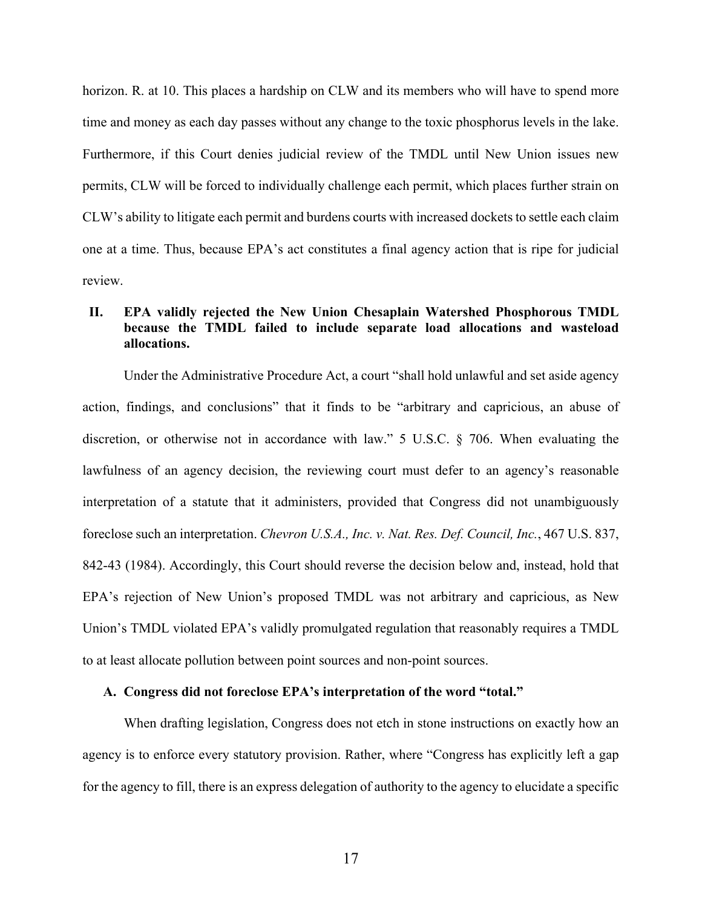horizon. R. at 10. This places a hardship on CLW and its members who will have to spend more time and money as each day passes without any change to the toxic phosphorus levels in the lake. Furthermore, if this Court denies judicial review of the TMDL until New Union issues new permits, CLW will be forced to individually challenge each permit, which places further strain on CLW's ability to litigate each permit and burdens courts with increased dockets to settle each claim one at a time. Thus, because EPA's act constitutes a final agency action that is ripe for judicial review.

## **II. EPA validly rejected the New Union Chesaplain Watershed Phosphorous TMDL because the TMDL failed to include separate load allocations and wasteload allocations.**

Under the Administrative Procedure Act, a court "shall hold unlawful and set aside agency action, findings, and conclusions" that it finds to be "arbitrary and capricious, an abuse of discretion, or otherwise not in accordance with law." 5 U.S.C. § 706. When evaluating the lawfulness of an agency decision, the reviewing court must defer to an agency's reasonable interpretation of a statute that it administers, provided that Congress did not unambiguously foreclose such an interpretation. *Chevron U.S.A., Inc. v. Nat. Res. Def. Council, Inc.*, 467 U.S. 837, 842-43 (1984). Accordingly, this Court should reverse the decision below and, instead, hold that EPA's rejection of New Union's proposed TMDL was not arbitrary and capricious, as New Union's TMDL violated EPA's validly promulgated regulation that reasonably requires a TMDL to at least allocate pollution between point sources and non-point sources.

## **A. Congress did not foreclose EPA's interpretation of the word "total."**

When drafting legislation, Congress does not etch in stone instructions on exactly how an agency is to enforce every statutory provision. Rather, where "Congress has explicitly left a gap for the agency to fill, there is an express delegation of authority to the agency to elucidate a specific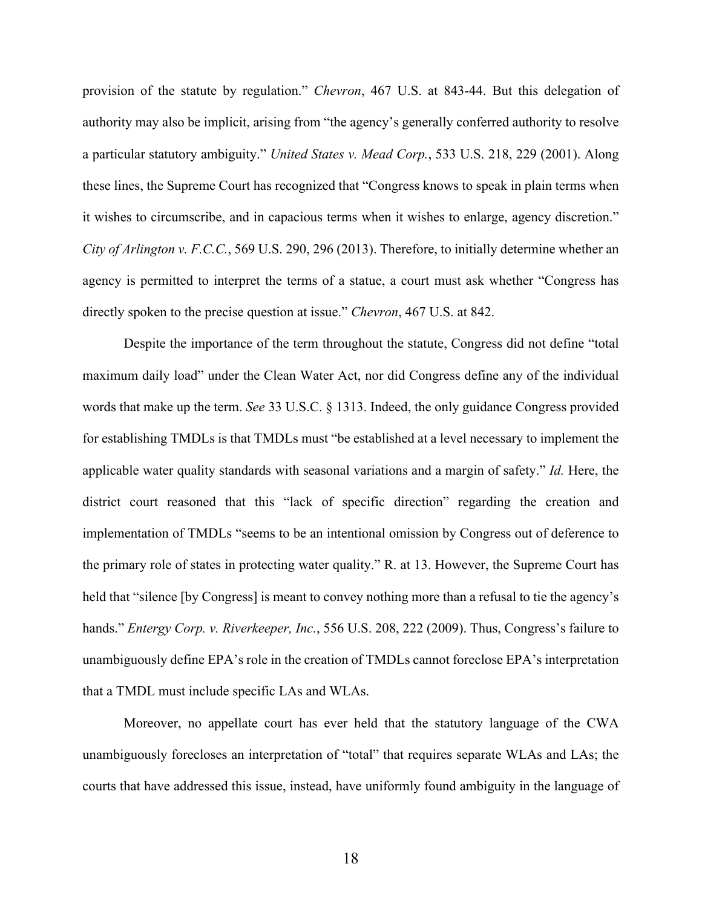provision of the statute by regulation." *Chevron*, 467 U.S. at 843-44. But this delegation of authority may also be implicit, arising from "the agency's generally conferred authority to resolve a particular statutory ambiguity." *United States v. Mead Corp.*, 533 U.S. 218, 229 (2001). Along these lines, the Supreme Court has recognized that "Congress knows to speak in plain terms when it wishes to circumscribe, and in capacious terms when it wishes to enlarge, agency discretion." *City of Arlington v. F.C.C.*, 569 U.S. 290, 296 (2013). Therefore, to initially determine whether an agency is permitted to interpret the terms of a statue, a court must ask whether "Congress has directly spoken to the precise question at issue." *Chevron*, 467 U.S. at 842.

Despite the importance of the term throughout the statute, Congress did not define "total maximum daily load" under the Clean Water Act, nor did Congress define any of the individual words that make up the term. *See* 33 U.S.C. § 1313. Indeed, the only guidance Congress provided for establishing TMDLs is that TMDLs must "be established at a level necessary to implement the applicable water quality standards with seasonal variations and a margin of safety." *Id.* Here, the district court reasoned that this "lack of specific direction" regarding the creation and implementation of TMDLs "seems to be an intentional omission by Congress out of deference to the primary role of states in protecting water quality." R. at 13. However, the Supreme Court has held that "silence [by Congress] is meant to convey nothing more than a refusal to tie the agency's hands." *Entergy Corp. v. Riverkeeper, Inc.*, 556 U.S. 208, 222 (2009). Thus, Congress's failure to unambiguously define EPA's role in the creation of TMDLs cannot foreclose EPA's interpretation that a TMDL must include specific LAs and WLAs.

Moreover, no appellate court has ever held that the statutory language of the CWA unambiguously forecloses an interpretation of "total" that requires separate WLAs and LAs; the courts that have addressed this issue, instead, have uniformly found ambiguity in the language of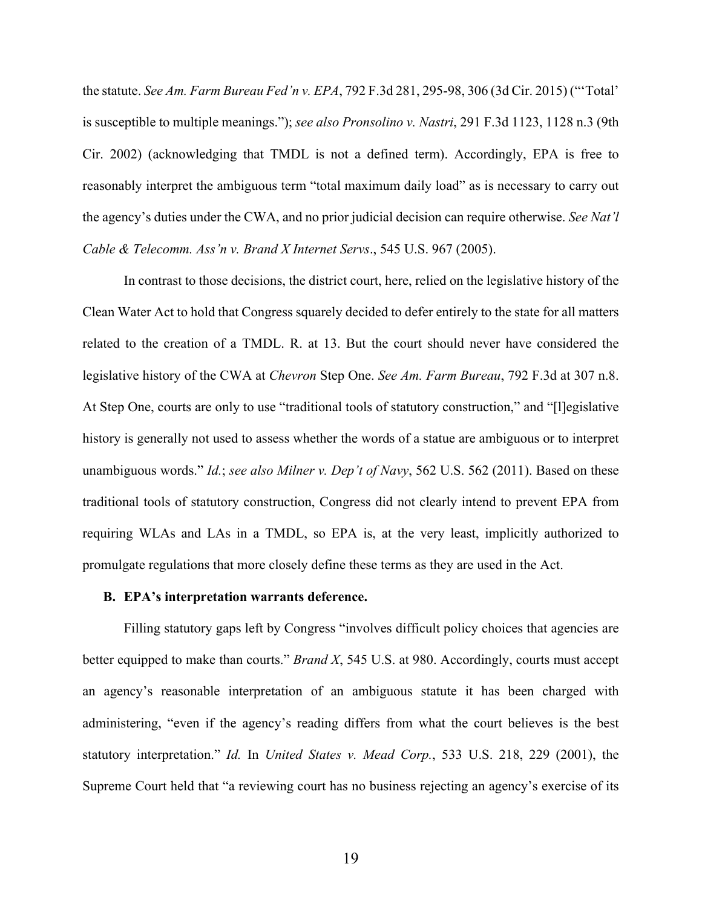the statute. *See Am. Farm Bureau Fed'n v. EPA*, 792 F.3d 281, 295-98, 306 (3d Cir. 2015) ("'Total' is susceptible to multiple meanings."); *see also Pronsolino v. Nastri*, 291 F.3d 1123, 1128 n.3 (9th Cir. 2002) (acknowledging that TMDL is not a defined term). Accordingly, EPA is free to reasonably interpret the ambiguous term "total maximum daily load" as is necessary to carry out the agency's duties under the CWA, and no prior judicial decision can require otherwise. *See Nat'l Cable & Telecomm. Ass'n v. Brand X Internet Servs*., 545 U.S. 967 (2005).

In contrast to those decisions, the district court, here, relied on the legislative history of the Clean Water Act to hold that Congress squarely decided to defer entirely to the state for all matters related to the creation of a TMDL. R. at 13. But the court should never have considered the legislative history of the CWA at *Chevron* Step One. *See Am. Farm Bureau*, 792 F.3d at 307 n.8. At Step One, courts are only to use "traditional tools of statutory construction," and "[l]egislative history is generally not used to assess whether the words of a statue are ambiguous or to interpret unambiguous words." *Id.*; *see also Milner v. Dep't of Navy*, 562 U.S. 562 (2011). Based on these traditional tools of statutory construction, Congress did not clearly intend to prevent EPA from requiring WLAs and LAs in a TMDL, so EPA is, at the very least, implicitly authorized to promulgate regulations that more closely define these terms as they are used in the Act.

## **B. EPA's interpretation warrants deference.**

Filling statutory gaps left by Congress "involves difficult policy choices that agencies are better equipped to make than courts." *Brand X*, 545 U.S. at 980. Accordingly, courts must accept an agency's reasonable interpretation of an ambiguous statute it has been charged with administering, "even if the agency's reading differs from what the court believes is the best statutory interpretation." *Id.* In *United States v. Mead Corp.*, 533 U.S. 218, 229 (2001), the Supreme Court held that "a reviewing court has no business rejecting an agency's exercise of its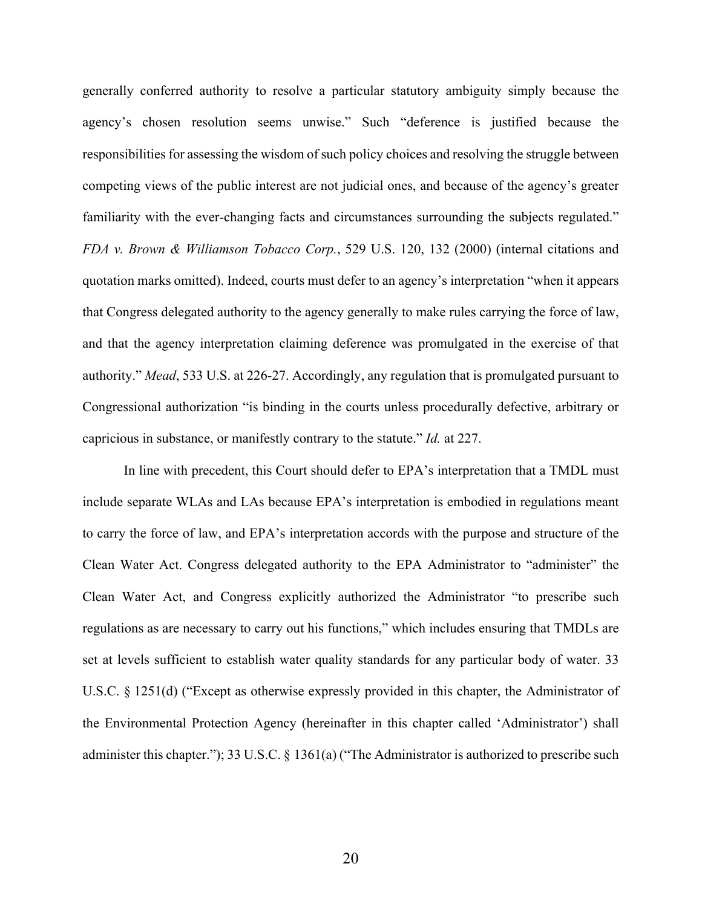generally conferred authority to resolve a particular statutory ambiguity simply because the agency's chosen resolution seems unwise." Such "deference is justified because the responsibilities for assessing the wisdom of such policy choices and resolving the struggle between competing views of the public interest are not judicial ones, and because of the agency's greater familiarity with the ever-changing facts and circumstances surrounding the subjects regulated." *FDA v. Brown & Williamson Tobacco Corp.*, 529 U.S. 120, 132 (2000) (internal citations and quotation marks omitted). Indeed, courts must defer to an agency's interpretation "when it appears that Congress delegated authority to the agency generally to make rules carrying the force of law, and that the agency interpretation claiming deference was promulgated in the exercise of that authority." *Mead*, 533 U.S. at 226-27. Accordingly, any regulation that is promulgated pursuant to Congressional authorization "is binding in the courts unless procedurally defective, arbitrary or capricious in substance, or manifestly contrary to the statute." *Id.* at 227.

In line with precedent, this Court should defer to EPA's interpretation that a TMDL must include separate WLAs and LAs because EPA's interpretation is embodied in regulations meant to carry the force of law, and EPA's interpretation accords with the purpose and structure of the Clean Water Act. Congress delegated authority to the EPA Administrator to "administer" the Clean Water Act, and Congress explicitly authorized the Administrator "to prescribe such regulations as are necessary to carry out his functions," which includes ensuring that TMDLs are set at levels sufficient to establish water quality standards for any particular body of water. 33 U.S.C. § 1251(d) ("Except as otherwise expressly provided in this chapter, the Administrator of the Environmental Protection Agency (hereinafter in this chapter called 'Administrator') shall administer this chapter."); 33 U.S.C. § 1361(a) ("The Administrator is authorized to prescribe such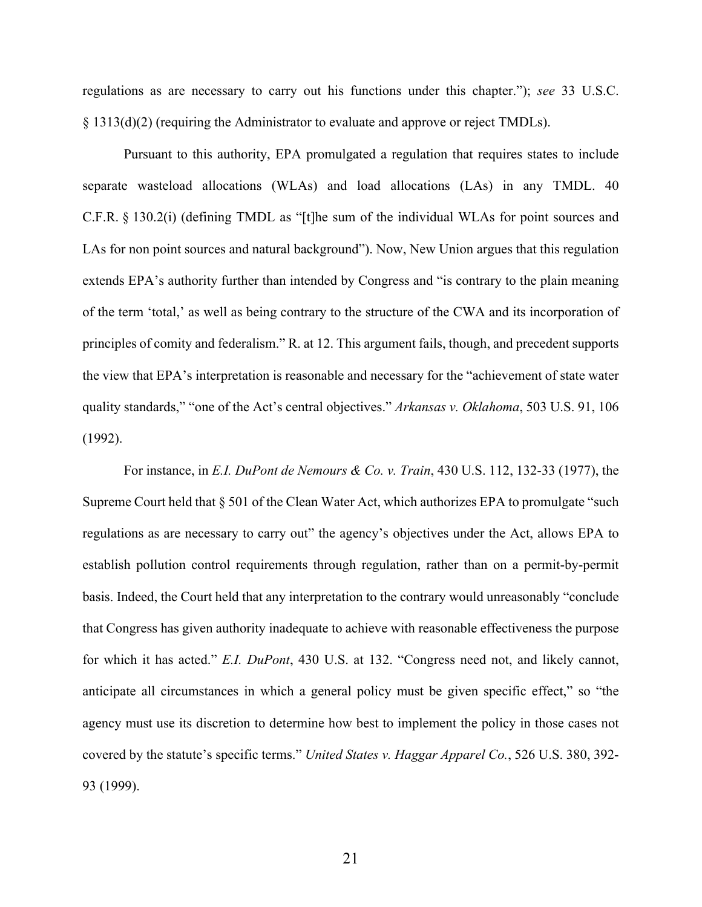regulations as are necessary to carry out his functions under this chapter."); *see* 33 U.S.C. § 1313(d)(2) (requiring the Administrator to evaluate and approve or reject TMDLs).

Pursuant to this authority, EPA promulgated a regulation that requires states to include separate wasteload allocations (WLAs) and load allocations (LAs) in any TMDL. 40 C.F.R. § 130.2(i) (defining TMDL as "[t]he sum of the individual WLAs for point sources and LAs for non point sources and natural background"). Now, New Union argues that this regulation extends EPA's authority further than intended by Congress and "is contrary to the plain meaning of the term 'total,' as well as being contrary to the structure of the CWA and its incorporation of principles of comity and federalism." R. at 12. This argument fails, though, and precedent supports the view that EPA's interpretation is reasonable and necessary for the "achievement of state water quality standards," "one of the Act's central objectives." *Arkansas v. Oklahoma*, 503 U.S. 91, 106 (1992).

For instance, in *E.I. DuPont de Nemours & Co. v. Train*, 430 U.S. 112, 132-33 (1977), the Supreme Court held that  $\S 501$  of the Clean Water Act, which authorizes EPA to promulgate "such regulations as are necessary to carry out" the agency's objectives under the Act, allows EPA to establish pollution control requirements through regulation, rather than on a permit-by-permit basis. Indeed, the Court held that any interpretation to the contrary would unreasonably "conclude that Congress has given authority inadequate to achieve with reasonable effectiveness the purpose for which it has acted." *E.I. DuPont*, 430 U.S. at 132. "Congress need not, and likely cannot, anticipate all circumstances in which a general policy must be given specific effect," so "the agency must use its discretion to determine how best to implement the policy in those cases not covered by the statute's specific terms." *United States v. Haggar Apparel Co.*, 526 U.S. 380, 392- 93 (1999).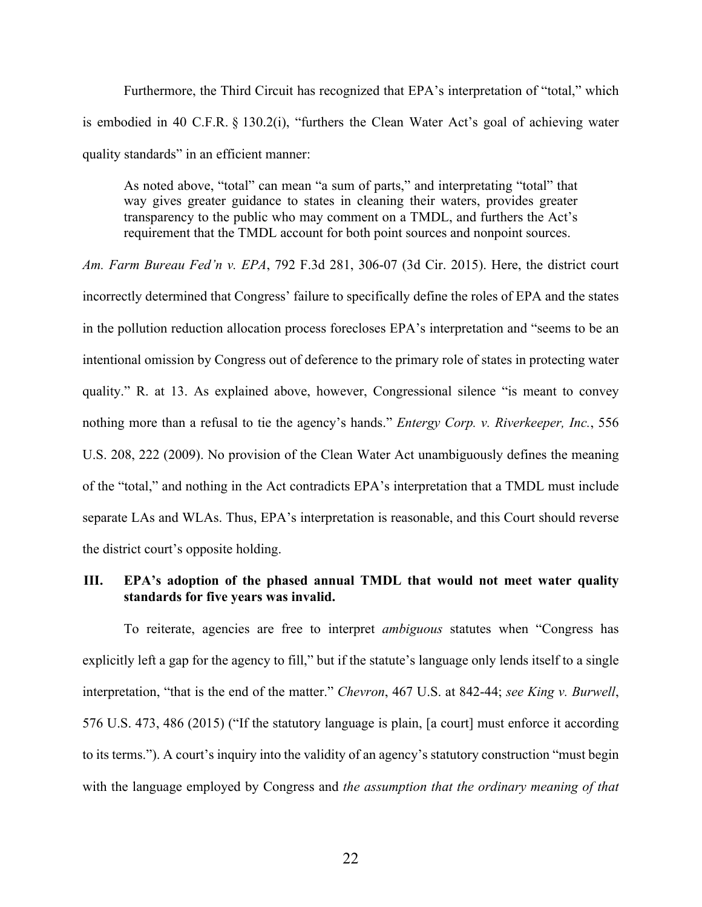Furthermore, the Third Circuit has recognized that EPA's interpretation of "total," which is embodied in 40 C.F.R. § 130.2(i), "furthers the Clean Water Act's goal of achieving water quality standards" in an efficient manner:

As noted above, "total" can mean "a sum of parts," and interpretating "total" that way gives greater guidance to states in cleaning their waters, provides greater transparency to the public who may comment on a TMDL, and furthers the Act's requirement that the TMDL account for both point sources and nonpoint sources.

*Am. Farm Bureau Fed'n v. EPA*, 792 F.3d 281, 306-07 (3d Cir. 2015). Here, the district court incorrectly determined that Congress' failure to specifically define the roles of EPA and the states in the pollution reduction allocation process forecloses EPA's interpretation and "seems to be an intentional omission by Congress out of deference to the primary role of states in protecting water quality." R. at 13. As explained above, however, Congressional silence "is meant to convey nothing more than a refusal to tie the agency's hands." *Entergy Corp. v. Riverkeeper, Inc.*, 556 U.S. 208, 222 (2009). No provision of the Clean Water Act unambiguously defines the meaning of the "total," and nothing in the Act contradicts EPA's interpretation that a TMDL must include separate LAs and WLAs. Thus, EPA's interpretation is reasonable, and this Court should reverse the district court's opposite holding.

## **III. EPA's adoption of the phased annual TMDL that would not meet water quality standards for five years was invalid.**

To reiterate, agencies are free to interpret *ambiguous* statutes when "Congress has explicitly left a gap for the agency to fill," but if the statute's language only lends itself to a single interpretation, "that is the end of the matter." *Chevron*, 467 U.S. at 842-44; *see King v. Burwell*, 576 U.S. 473, 486 (2015) ("If the statutory language is plain, [a court] must enforce it according to its terms."). A court's inquiry into the validity of an agency's statutory construction "must begin with the language employed by Congress and *the assumption that the ordinary meaning of that*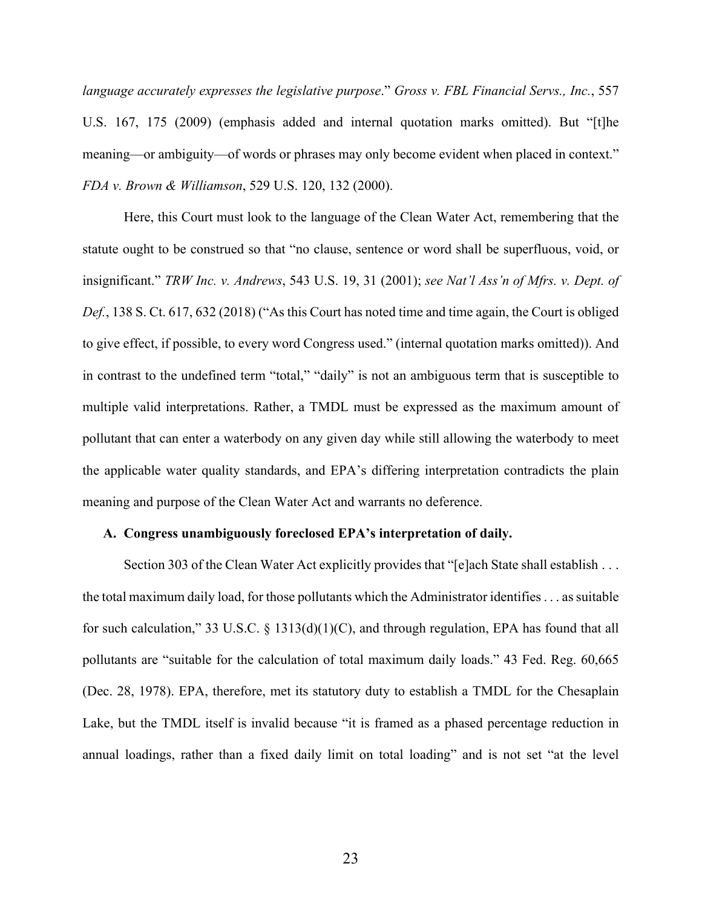*language accurately expresses the legislative purpose*." *Gross v. FBL Financial Servs., Inc.*, 557 U.S. 167, 175 (2009) (emphasis added and internal quotation marks omitted). But "[t]he meaning—or ambiguity—of words or phrases may only become evident when placed in context." *FDA v. Brown & Williamson*, 529 U.S. 120, 132 (2000).

Here, this Court must look to the language of the Clean Water Act, remembering that the statute ought to be construed so that "no clause, sentence or word shall be superfluous, void, or insignificant." *TRW Inc. v. Andrews*, 543 U.S. 19, 31 (2001); *see Nat'l Ass'n of Mfrs. v. Dept. of Def.*, 138 S. Ct. 617, 632 (2018) ("As this Court has noted time and time again, the Court is obliged to give effect, if possible, to every word Congress used." (internal quotation marks omitted)). And in contrast to the undefined term "total," "daily" is not an ambiguous term that is susceptible to multiple valid interpretations. Rather, a TMDL must be expressed as the maximum amount of pollutant that can enter a waterbody on any given day while still allowing the waterbody to meet the applicable water quality standards, and EPA's differing interpretation contradicts the plain meaning and purpose of the Clean Water Act and warrants no deference.

#### **A. Congress unambiguously foreclosed EPA's interpretation of daily.**

Section 303 of the Clean Water Act explicitly provides that "[e]ach State shall establish . . . the total maximum daily load, for those pollutants which the Administrator identifies . . . as suitable for such calculation," 33 U.S.C. § 1313(d)(1)(C), and through regulation, EPA has found that all pollutants are "suitable for the calculation of total maximum daily loads." 43 Fed. Reg. 60,665 (Dec. 28, 1978). EPA, therefore, met its statutory duty to establish a TMDL for the Chesaplain Lake, but the TMDL itself is invalid because "it is framed as a phased percentage reduction in annual loadings, rather than a fixed daily limit on total loading" and is not set "at the level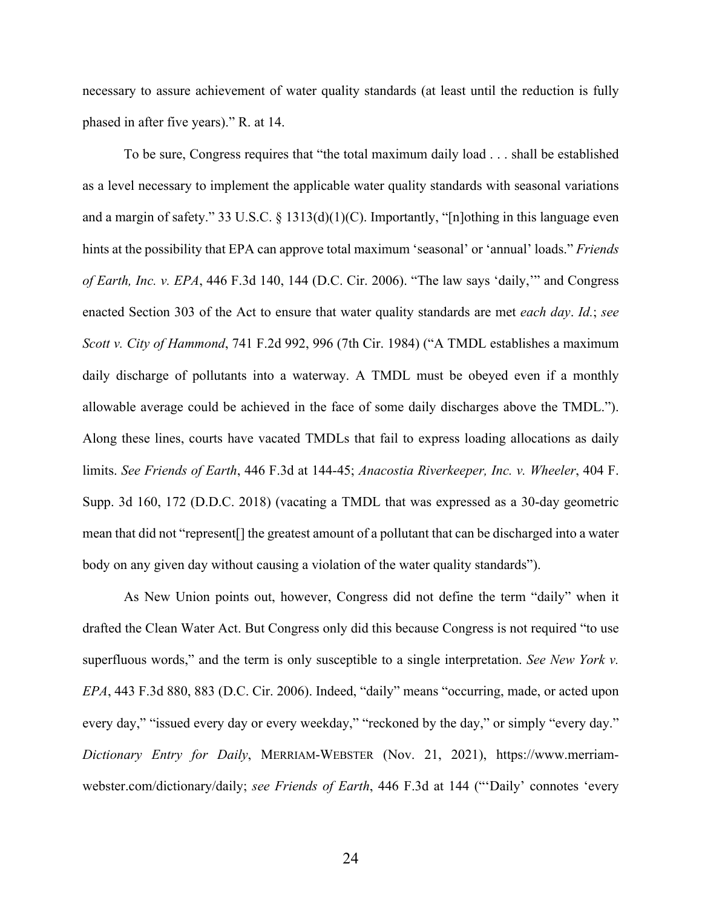necessary to assure achievement of water quality standards (at least until the reduction is fully phased in after five years)." R. at 14.

To be sure, Congress requires that "the total maximum daily load . . . shall be established as a level necessary to implement the applicable water quality standards with seasonal variations and a margin of safety." 33 U.S.C. § 1313(d)(1)(C). Importantly, "[n]othing in this language even hints at the possibility that EPA can approve total maximum 'seasonal' or 'annual' loads." *Friends of Earth, Inc. v. EPA*, 446 F.3d 140, 144 (D.C. Cir. 2006). "The law says 'daily,'" and Congress enacted Section 303 of the Act to ensure that water quality standards are met *each day*. *Id.*; *see Scott v. City of Hammond*, 741 F.2d 992, 996 (7th Cir. 1984) ("A TMDL establishes a maximum daily discharge of pollutants into a waterway. A TMDL must be obeyed even if a monthly allowable average could be achieved in the face of some daily discharges above the TMDL."). Along these lines, courts have vacated TMDLs that fail to express loading allocations as daily limits. *See Friends of Earth*, 446 F.3d at 144-45; *Anacostia Riverkeeper, Inc. v. Wheeler*, 404 F. Supp. 3d 160, 172 (D.D.C. 2018) (vacating a TMDL that was expressed as a 30-day geometric mean that did not "represent[] the greatest amount of a pollutant that can be discharged into a water body on any given day without causing a violation of the water quality standards").

As New Union points out, however, Congress did not define the term "daily" when it drafted the Clean Water Act. But Congress only did this because Congress is not required "to use superfluous words," and the term is only susceptible to a single interpretation. *See New York v. EPA*, 443 F.3d 880, 883 (D.C. Cir. 2006). Indeed, "daily" means "occurring, made, or acted upon every day," "issued every day or every weekday," "reckoned by the day," or simply "every day." *Dictionary Entry for Daily*, MERRIAM-WEBSTER (Nov. 21, 2021), https://www.merriamwebster.com/dictionary/daily; *see Friends of Earth*, 446 F.3d at 144 ("'Daily' connotes 'every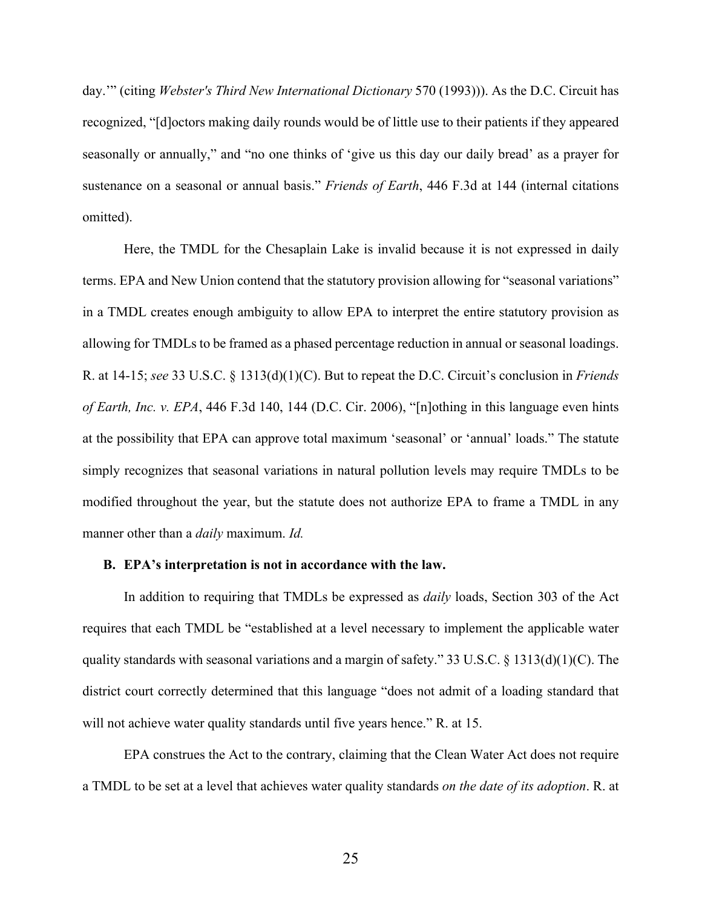day.'" (citing *Webster's Third New International Dictionary* 570 (1993))). As the D.C. Circuit has recognized, "[d]octors making daily rounds would be of little use to their patients if they appeared seasonally or annually," and "no one thinks of 'give us this day our daily bread' as a prayer for sustenance on a seasonal or annual basis." *Friends of Earth*, 446 F.3d at 144 (internal citations omitted).

Here, the TMDL for the Chesaplain Lake is invalid because it is not expressed in daily terms. EPA and New Union contend that the statutory provision allowing for "seasonal variations" in a TMDL creates enough ambiguity to allow EPA to interpret the entire statutory provision as allowing for TMDLs to be framed as a phased percentage reduction in annual or seasonal loadings. R. at 14-15; *see* 33 U.S.C. § 1313(d)(1)(C). But to repeat the D.C. Circuit's conclusion in *Friends of Earth, Inc. v. EPA*, 446 F.3d 140, 144 (D.C. Cir. 2006), "[n]othing in this language even hints at the possibility that EPA can approve total maximum 'seasonal' or 'annual' loads." The statute simply recognizes that seasonal variations in natural pollution levels may require TMDLs to be modified throughout the year, but the statute does not authorize EPA to frame a TMDL in any manner other than a *daily* maximum. *Id.*

#### **B. EPA's interpretation is not in accordance with the law.**

In addition to requiring that TMDLs be expressed as *daily* loads, Section 303 of the Act requires that each TMDL be "established at a level necessary to implement the applicable water quality standards with seasonal variations and a margin of safety." 33 U.S.C. § 1313(d)(1)(C). The district court correctly determined that this language "does not admit of a loading standard that will not achieve water quality standards until five years hence." R. at 15.

EPA construes the Act to the contrary, claiming that the Clean Water Act does not require a TMDL to be set at a level that achieves water quality standards *on the date of its adoption*. R. at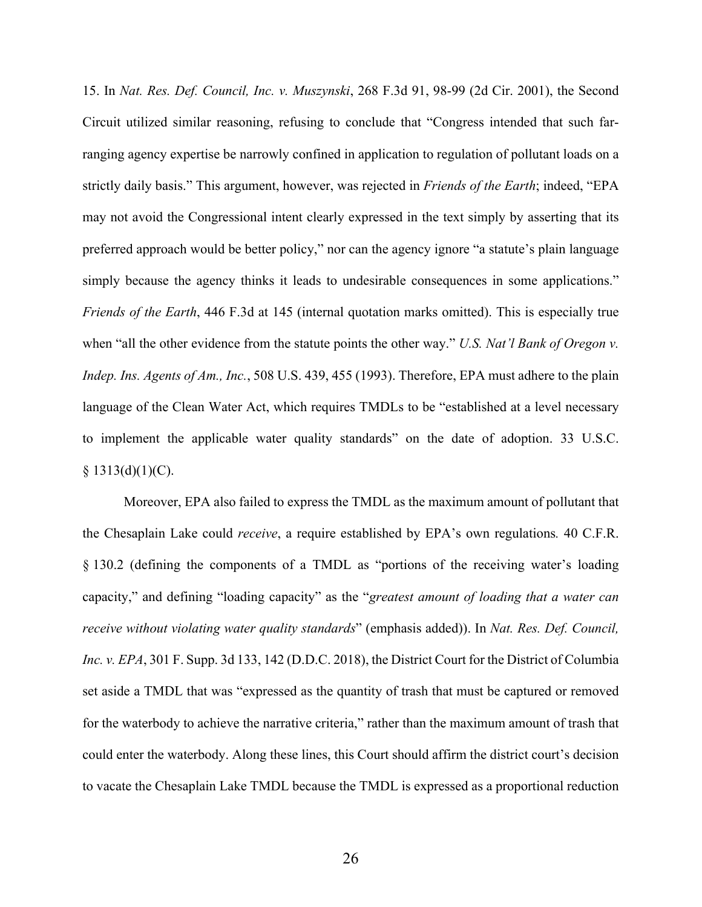15. In *Nat. Res. Def. Council, Inc. v. Muszynski*, 268 F.3d 91, 98-99 (2d Cir. 2001), the Second Circuit utilized similar reasoning, refusing to conclude that "Congress intended that such farranging agency expertise be narrowly confined in application to regulation of pollutant loads on a strictly daily basis." This argument, however, was rejected in *Friends of the Earth*; indeed, "EPA may not avoid the Congressional intent clearly expressed in the text simply by asserting that its preferred approach would be better policy," nor can the agency ignore "a statute's plain language simply because the agency thinks it leads to undesirable consequences in some applications." *Friends of the Earth*, 446 F.3d at 145 (internal quotation marks omitted). This is especially true when "all the other evidence from the statute points the other way." *U.S. Nat'l Bank of Oregon v. Indep. Ins. Agents of Am., Inc.*, 508 U.S. 439, 455 (1993). Therefore, EPA must adhere to the plain language of the Clean Water Act, which requires TMDLs to be "established at a level necessary to implement the applicable water quality standards" on the date of adoption. 33 U.S.C.  $§ 1313(d)(1)(C).$ 

Moreover, EPA also failed to express the TMDL as the maximum amount of pollutant that the Chesaplain Lake could *receive*, a require established by EPA's own regulations*.* 40 C.F.R. § 130.2 (defining the components of a TMDL as "portions of the receiving water's loading capacity," and defining "loading capacity" as the "*greatest amount of loading that a water can receive without violating water quality standards*" (emphasis added)). In *Nat. Res. Def. Council, Inc. v. EPA*, 301 F. Supp. 3d 133, 142 (D.D.C. 2018), the District Court for the District of Columbia set aside a TMDL that was "expressed as the quantity of trash that must be captured or removed for the waterbody to achieve the narrative criteria," rather than the maximum amount of trash that could enter the waterbody. Along these lines, this Court should affirm the district court's decision to vacate the Chesaplain Lake TMDL because the TMDL is expressed as a proportional reduction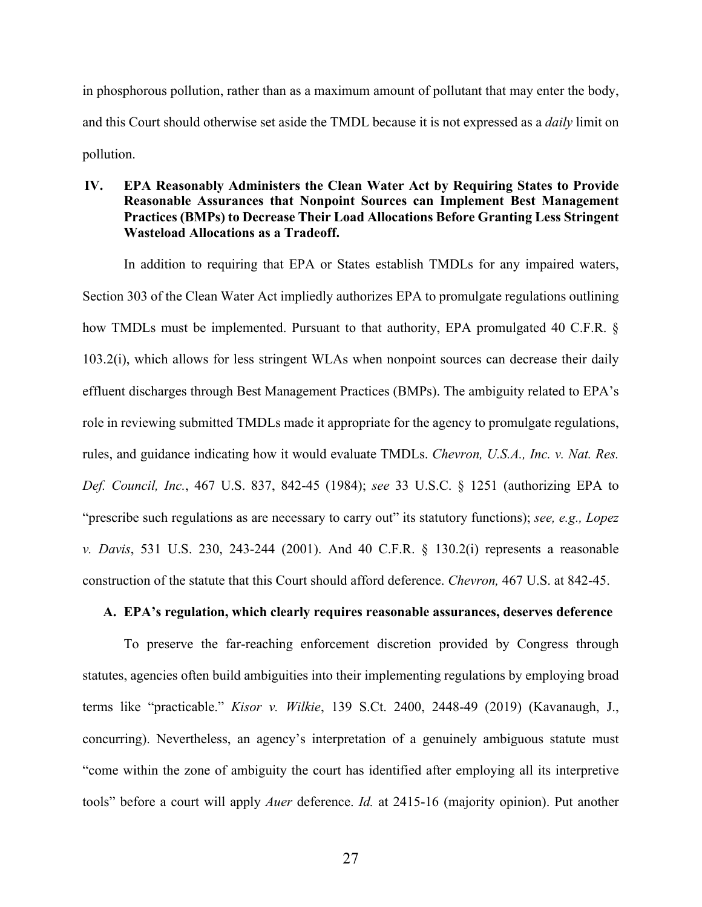in phosphorous pollution, rather than as a maximum amount of pollutant that may enter the body, and this Court should otherwise set aside the TMDL because it is not expressed as a *daily* limit on pollution.

## **IV. EPA Reasonably Administers the Clean Water Act by Requiring States to Provide Reasonable Assurances that Nonpoint Sources can Implement Best Management Practices (BMPs) to Decrease Their Load Allocations Before Granting Less Stringent Wasteload Allocations as a Tradeoff.**

In addition to requiring that EPA or States establish TMDLs for any impaired waters, Section 303 of the Clean Water Act impliedly authorizes EPA to promulgate regulations outlining how TMDLs must be implemented. Pursuant to that authority, EPA promulgated 40 C.F.R. § 103.2(i), which allows for less stringent WLAs when nonpoint sources can decrease their daily effluent discharges through Best Management Practices (BMPs). The ambiguity related to EPA's role in reviewing submitted TMDLs made it appropriate for the agency to promulgate regulations, rules, and guidance indicating how it would evaluate TMDLs. *Chevron, U.S.A., Inc. v. Nat. Res. Def. Council, Inc.*, 467 U.S. 837, 842-45 (1984); *see* 33 U.S.C. § 1251 (authorizing EPA to "prescribe such regulations as are necessary to carry out" its statutory functions); *see, e.g., Lopez v. Davis*, 531 U.S. 230, 243-244 (2001). And 40 C.F.R. § 130.2(i) represents a reasonable construction of the statute that this Court should afford deference. *Chevron,* 467 U.S. at 842-45.

## **A. EPA's regulation, which clearly requires reasonable assurances, deserves deference**

To preserve the far-reaching enforcement discretion provided by Congress through statutes, agencies often build ambiguities into their implementing regulations by employing broad terms like "practicable." *Kisor v. Wilkie*, 139 S.Ct. 2400, 2448-49 (2019) (Kavanaugh, J., concurring). Nevertheless, an agency's interpretation of a genuinely ambiguous statute must "come within the zone of ambiguity the court has identified after employing all its interpretive tools" before a court will apply *Auer* deference. *Id.* at 2415-16 (majority opinion). Put another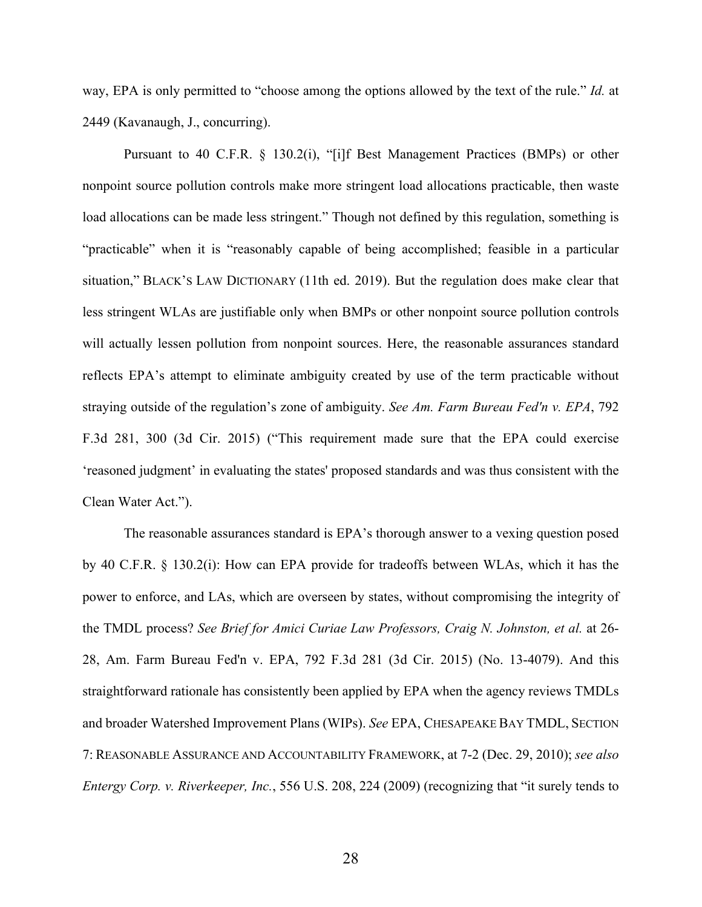way, EPA is only permitted to "choose among the options allowed by the text of the rule." *Id.* at 2449 (Kavanaugh, J., concurring).

Pursuant to 40 C.F.R. § 130.2(i), "[i]f Best Management Practices (BMPs) or other nonpoint source pollution controls make more stringent load allocations practicable, then waste load allocations can be made less stringent." Though not defined by this regulation, something is "practicable" when it is "reasonably capable of being accomplished; feasible in a particular situation," BLACK'S LAW DICTIONARY (11th ed. 2019). But the regulation does make clear that less stringent WLAs are justifiable only when BMPs or other nonpoint source pollution controls will actually lessen pollution from nonpoint sources. Here, the reasonable assurances standard reflects EPA's attempt to eliminate ambiguity created by use of the term practicable without straying outside of the regulation's zone of ambiguity. *See Am. Farm Bureau Fed'n v. EPA*, 792 F.3d 281, 300 (3d Cir. 2015) ("This requirement made sure that the EPA could exercise 'reasoned judgment' in evaluating the states' proposed standards and was thus consistent with the Clean Water Act.").

The reasonable assurances standard is EPA's thorough answer to a vexing question posed by 40 C.F.R. § 130.2(i): How can EPA provide for tradeoffs between WLAs, which it has the power to enforce, and LAs, which are overseen by states, without compromising the integrity of the TMDL process? *See Brief for Amici Curiae Law Professors, Craig N. Johnston, et al.* at 26- 28, Am. Farm Bureau Fed'n v. EPA, 792 F.3d 281 (3d Cir. 2015) (No. 13-4079). And this straightforward rationale has consistently been applied by EPA when the agency reviews TMDLs and broader Watershed Improvement Plans (WIPs). *See* EPA, CHESAPEAKE BAY TMDL, SECTION 7: REASONABLE ASSURANCE AND ACCOUNTABILITY FRAMEWORK, at 7-2 (Dec. 29, 2010); *see also Entergy Corp. v. Riverkeeper, Inc.*, 556 U.S. 208, 224 (2009) (recognizing that "it surely tends to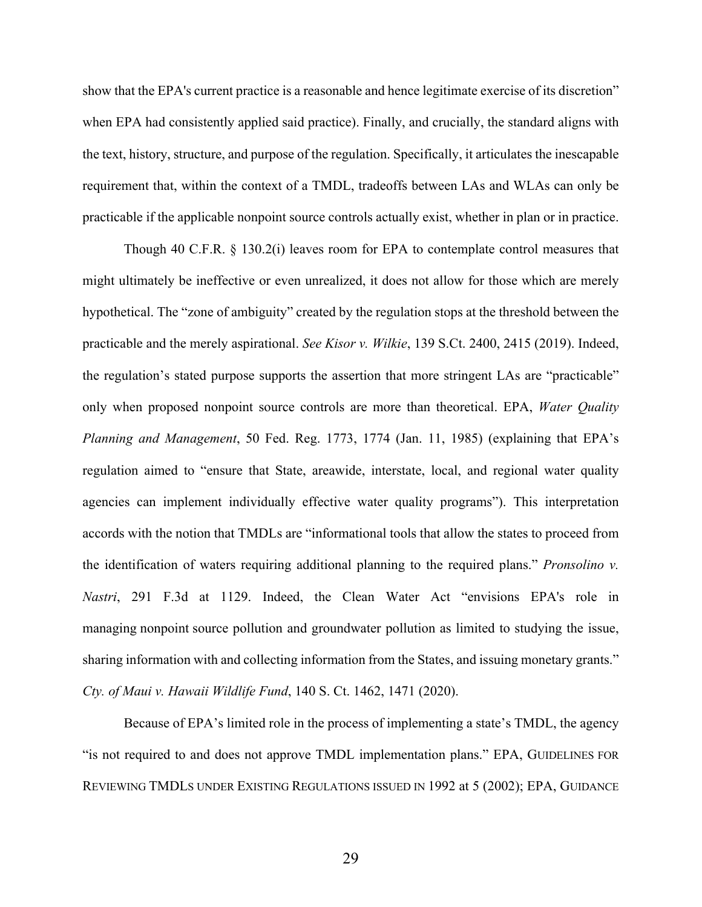show that the EPA's current practice is a reasonable and hence legitimate exercise of its discretion" when EPA had consistently applied said practice). Finally, and crucially, the standard aligns with the text, history, structure, and purpose of the regulation. Specifically, it articulates the inescapable requirement that, within the context of a TMDL, tradeoffs between LAs and WLAs can only be practicable if the applicable nonpoint source controls actually exist, whether in plan or in practice.

Though 40 C.F.R. § 130.2(i) leaves room for EPA to contemplate control measures that might ultimately be ineffective or even unrealized, it does not allow for those which are merely hypothetical. The "zone of ambiguity" created by the regulation stops at the threshold between the practicable and the merely aspirational. *See Kisor v. Wilkie*, 139 S.Ct. 2400, 2415 (2019). Indeed, the regulation's stated purpose supports the assertion that more stringent LAs are "practicable" only when proposed nonpoint source controls are more than theoretical. EPA, *Water Quality Planning and Management*, 50 Fed. Reg. 1773, 1774 (Jan. 11, 1985) (explaining that EPA's regulation aimed to "ensure that State, areawide, interstate, local, and regional water quality agencies can implement individually effective water quality programs"). This interpretation accords with the notion that TMDLs are "informational tools that allow the states to proceed from the identification of waters requiring additional planning to the required plans." *Pronsolino v. Nastri*, 291 F.3d at 1129. Indeed, the Clean Water Act "envisions EPA's role in managing nonpoint source pollution and groundwater pollution as limited to studying the issue, sharing information with and collecting information from the States, and issuing monetary grants." *Cty. of Maui v. Hawaii Wildlife Fund*, 140 S. Ct. 1462, 1471 (2020).

Because of EPA's limited role in the process of implementing a state's TMDL, the agency "is not required to and does not approve TMDL implementation plans." EPA, GUIDELINES FOR REVIEWING TMDLS UNDER EXISTING REGULATIONS ISSUED IN 1992 at 5 (2002); EPA, GUIDANCE

29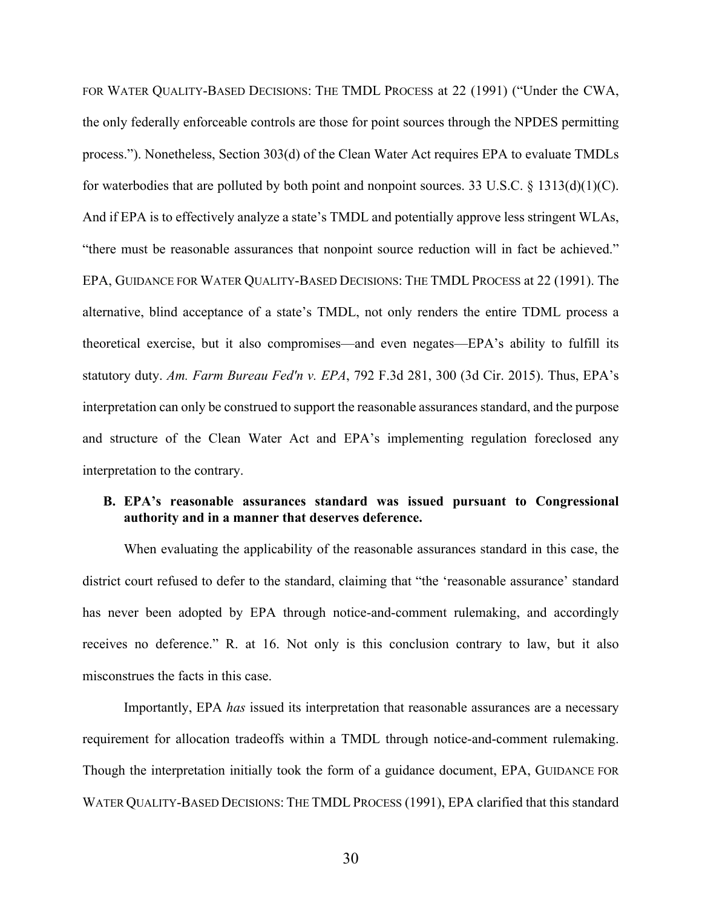FOR WATER QUALITY-BASED DECISIONS: THE TMDL PROCESS at 22 (1991) ("Under the CWA, the only federally enforceable controls are those for point sources through the NPDES permitting process."). Nonetheless, Section 303(d) of the Clean Water Act requires EPA to evaluate TMDLs for waterbodies that are polluted by both point and nonpoint sources. 33 U.S.C. § 1313(d)(1)(C). And if EPA is to effectively analyze a state's TMDL and potentially approve less stringent WLAs, "there must be reasonable assurances that nonpoint source reduction will in fact be achieved." EPA, GUIDANCE FOR WATER QUALITY-BASED DECISIONS: THE TMDL PROCESS at 22 (1991). The alternative, blind acceptance of a state's TMDL, not only renders the entire TDML process a theoretical exercise, but it also compromises—and even negates—EPA's ability to fulfill its statutory duty. *Am. Farm Bureau Fed'n v. EPA*, 792 F.3d 281, 300 (3d Cir. 2015). Thus, EPA's interpretation can only be construed to support the reasonable assurances standard, and the purpose and structure of the Clean Water Act and EPA's implementing regulation foreclosed any interpretation to the contrary.

## **B. EPA's reasonable assurances standard was issued pursuant to Congressional authority and in a manner that deserves deference.**

When evaluating the applicability of the reasonable assurances standard in this case, the district court refused to defer to the standard, claiming that "the 'reasonable assurance' standard has never been adopted by EPA through notice-and-comment rulemaking, and accordingly receives no deference." R. at 16. Not only is this conclusion contrary to law, but it also misconstrues the facts in this case.

Importantly, EPA *has* issued its interpretation that reasonable assurances are a necessary requirement for allocation tradeoffs within a TMDL through notice-and-comment rulemaking. Though the interpretation initially took the form of a guidance document, EPA, GUIDANCE FOR WATER QUALITY-BASED DECISIONS: THE TMDL PROCESS (1991), EPA clarified that this standard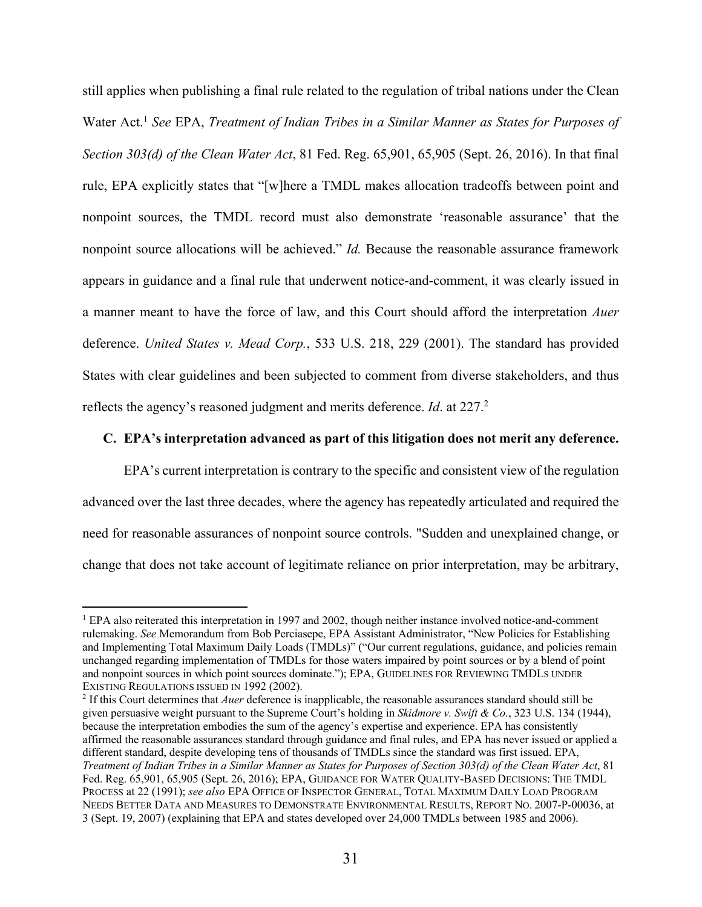still applies when publishing a final rule related to the regulation of tribal nations under the Clean Water Act.1 *See* EPA, *Treatment of Indian Tribes in a Similar Manner as States for Purposes of Section 303(d) of the Clean Water Act*, 81 Fed. Reg. 65,901, 65,905 (Sept. 26, 2016). In that final rule, EPA explicitly states that "[w]here a TMDL makes allocation tradeoffs between point and nonpoint sources, the TMDL record must also demonstrate 'reasonable assurance' that the nonpoint source allocations will be achieved." *Id.* Because the reasonable assurance framework appears in guidance and a final rule that underwent notice-and-comment, it was clearly issued in a manner meant to have the force of law, and this Court should afford the interpretation *Auer* deference. *United States v. Mead Corp.*, 533 U.S. 218, 229 (2001). The standard has provided States with clear guidelines and been subjected to comment from diverse stakeholders, and thus reflects the agency's reasoned judgment and merits deference. *Id*. at 227.2

## **C. EPA's interpretation advanced as part of this litigation does not merit any deference.**

EPA's current interpretation is contrary to the specific and consistent view of the regulation advanced over the last three decades, where the agency has repeatedly articulated and required the need for reasonable assurances of nonpoint source controls. "Sudden and unexplained change, or change that does not take account of legitimate reliance on prior interpretation, may be arbitrary,

<sup>&</sup>lt;sup>1</sup> EPA also reiterated this interpretation in 1997 and 2002, though neither instance involved notice-and-comment rulemaking. *See* Memorandum from Bob Perciasepe, EPA Assistant Administrator, "New Policies for Establishing and Implementing Total Maximum Daily Loads (TMDLs)" ("Our current regulations, guidance, and policies remain unchanged regarding implementation of TMDLs for those waters impaired by point sources or by a blend of point and nonpoint sources in which point sources dominate."); EPA, GUIDELINES FOR REVIEWING TMDLS UNDER EXISTING REGULATIONS ISSUED IN 1992 (2002).

<sup>2</sup> If this Court determines that *Auer* deference is inapplicable, the reasonable assurances standard should still be given persuasive weight pursuant to the Supreme Court's holding in *Skidmore v. Swift & Co.*, 323 U.S. 134 (1944), because the interpretation embodies the sum of the agency's expertise and experience. EPA has consistently affirmed the reasonable assurances standard through guidance and final rules, and EPA has never issued or applied a different standard, despite developing tens of thousands of TMDLs since the standard was first issued. EPA, *Treatment of Indian Tribes in a Similar Manner as States for Purposes of Section 303(d) of the Clean Water Act*, 81 Fed. Reg. 65,901, 65,905 (Sept. 26, 2016); EPA, GUIDANCE FOR WATER QUALITY-BASED DECISIONS: THE TMDL PROCESS at 22 (1991); *see also* EPA OFFICE OF INSPECTOR GENERAL, TOTAL MAXIMUM DAILY LOAD PROGRAM NEEDS BETTER DATA AND MEASURES TO DEMONSTRATE ENVIRONMENTAL RESULTS, REPORT NO. 2007-P-00036, at 3 (Sept. 19, 2007) (explaining that EPA and states developed over 24,000 TMDLs between 1985 and 2006).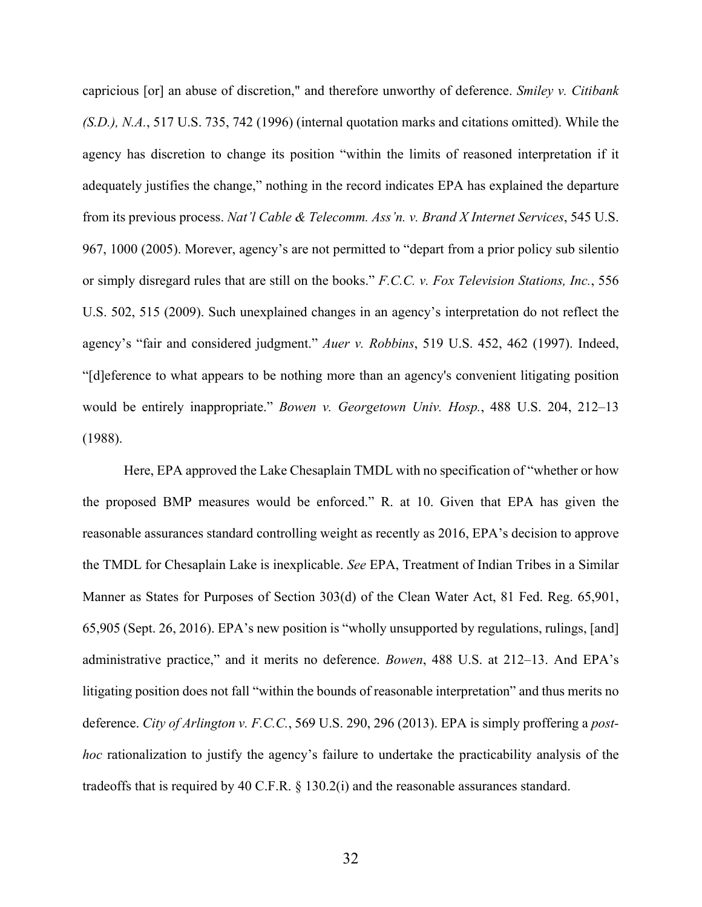capricious [or] an abuse of discretion," and therefore unworthy of deference. *Smiley v. Citibank (S.D.), N.A.*, 517 U.S. 735, 742 (1996) (internal quotation marks and citations omitted). While the agency has discretion to change its position "within the limits of reasoned interpretation if it adequately justifies the change," nothing in the record indicates EPA has explained the departure from its previous process. *Nat'l Cable & Telecomm. Ass'n. v. Brand X Internet Services*, 545 U.S. 967, 1000 (2005). Morever, agency's are not permitted to "depart from a prior policy sub silentio or simply disregard rules that are still on the books." *F.C.C. v. Fox Television Stations, Inc.*, 556 U.S. 502, 515 (2009). Such unexplained changes in an agency's interpretation do not reflect the agency's "fair and considered judgment." *Auer v. Robbins*, 519 U.S. 452, 462 (1997). Indeed, "[d]eference to what appears to be nothing more than an agency's convenient litigating position would be entirely inappropriate." *Bowen v. Georgetown Univ. Hosp.*, 488 U.S. 204, 212–13 (1988).

Here, EPA approved the Lake Chesaplain TMDL with no specification of "whether or how the proposed BMP measures would be enforced." R. at 10. Given that EPA has given the reasonable assurances standard controlling weight as recently as 2016, EPA's decision to approve the TMDL for Chesaplain Lake is inexplicable. *See* EPA, Treatment of Indian Tribes in a Similar Manner as States for Purposes of Section 303(d) of the Clean Water Act, 81 Fed. Reg. 65,901, 65,905 (Sept. 26, 2016). EPA's new position is "wholly unsupported by regulations, rulings, [and] administrative practice," and it merits no deference. *Bowen*, 488 U.S. at 212–13. And EPA's litigating position does not fall "within the bounds of reasonable interpretation" and thus merits no deference. *City of Arlington v. F.C.C.*, 569 U.S. 290, 296 (2013). EPA is simply proffering a *posthoc* rationalization to justify the agency's failure to undertake the practicability analysis of the tradeoffs that is required by 40 C.F.R. § 130.2(i) and the reasonable assurances standard.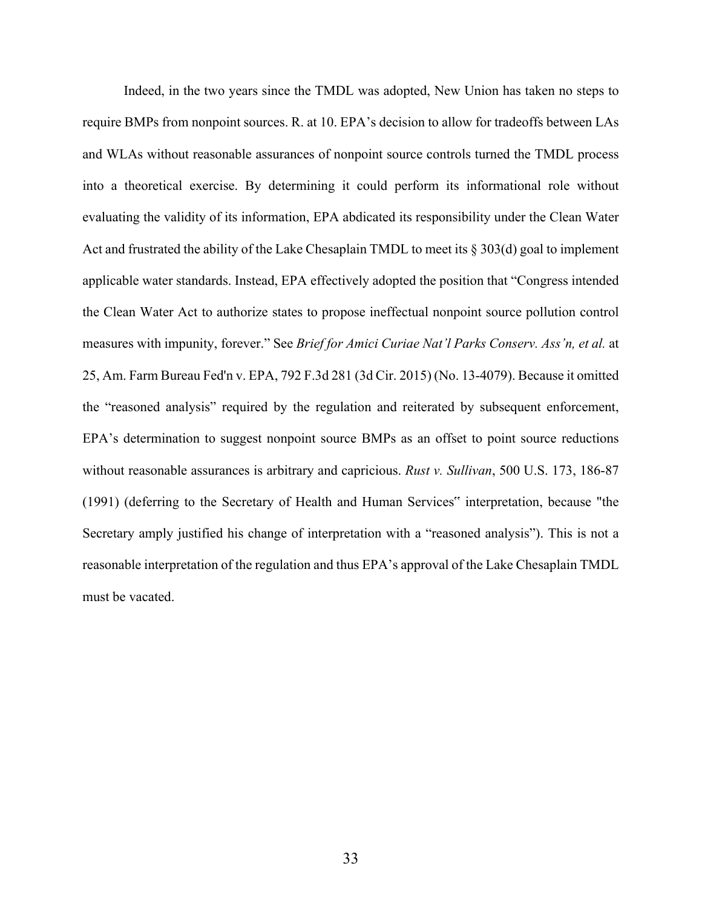Indeed, in the two years since the TMDL was adopted, New Union has taken no steps to require BMPs from nonpoint sources. R. at 10. EPA's decision to allow for tradeoffs between LAs and WLAs without reasonable assurances of nonpoint source controls turned the TMDL process into a theoretical exercise. By determining it could perform its informational role without evaluating the validity of its information, EPA abdicated its responsibility under the Clean Water Act and frustrated the ability of the Lake Chesaplain TMDL to meet its § 303(d) goal to implement applicable water standards. Instead, EPA effectively adopted the position that "Congress intended the Clean Water Act to authorize states to propose ineffectual nonpoint source pollution control measures with impunity, forever." See *Brief for Amici Curiae Nat'l Parks Conserv. Ass'n, et al.* at 25, Am. Farm Bureau Fed'n v. EPA, 792 F.3d 281 (3d Cir. 2015) (No. 13-4079). Because it omitted the "reasoned analysis" required by the regulation and reiterated by subsequent enforcement, EPA's determination to suggest nonpoint source BMPs as an offset to point source reductions without reasonable assurances is arbitrary and capricious. *Rust v. Sullivan*, 500 U.S. 173, 186-87 (1991) (deferring to the Secretary of Health and Human Services" interpretation, because "the Secretary amply justified his change of interpretation with a "reasoned analysis"). This is not a reasonable interpretation of the regulation and thus EPA's approval of the Lake Chesaplain TMDL must be vacated.